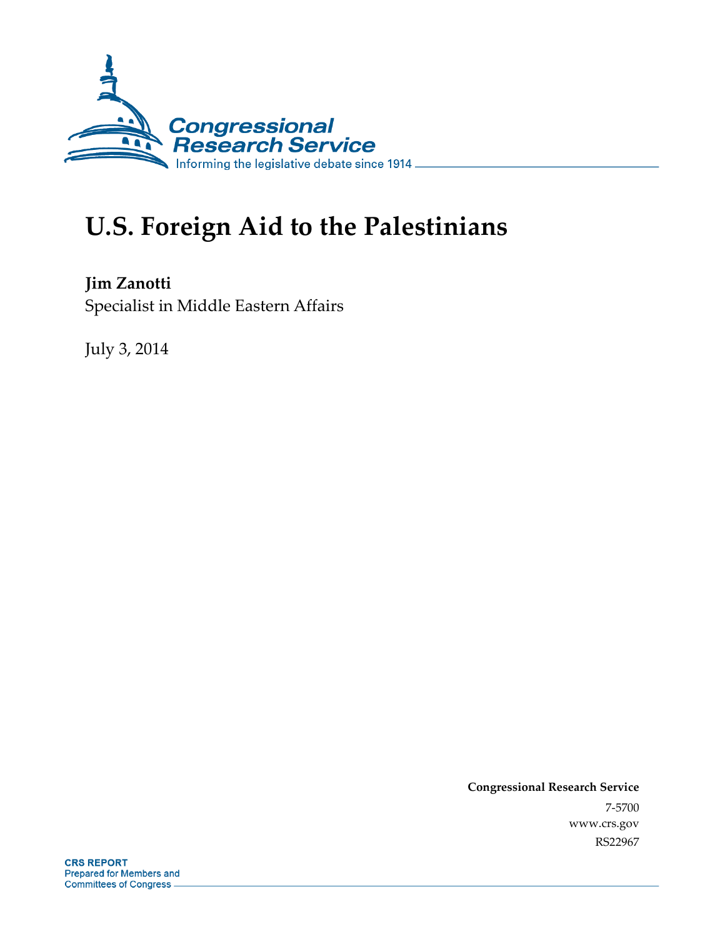

# **U.S. Foreign Aid to the Palestinians**

**Jim Zanotti**  Specialist in Middle Eastern Affairs

July 3, 2014

**Congressional Research Service**  7-5700 www.crs.gov RS22967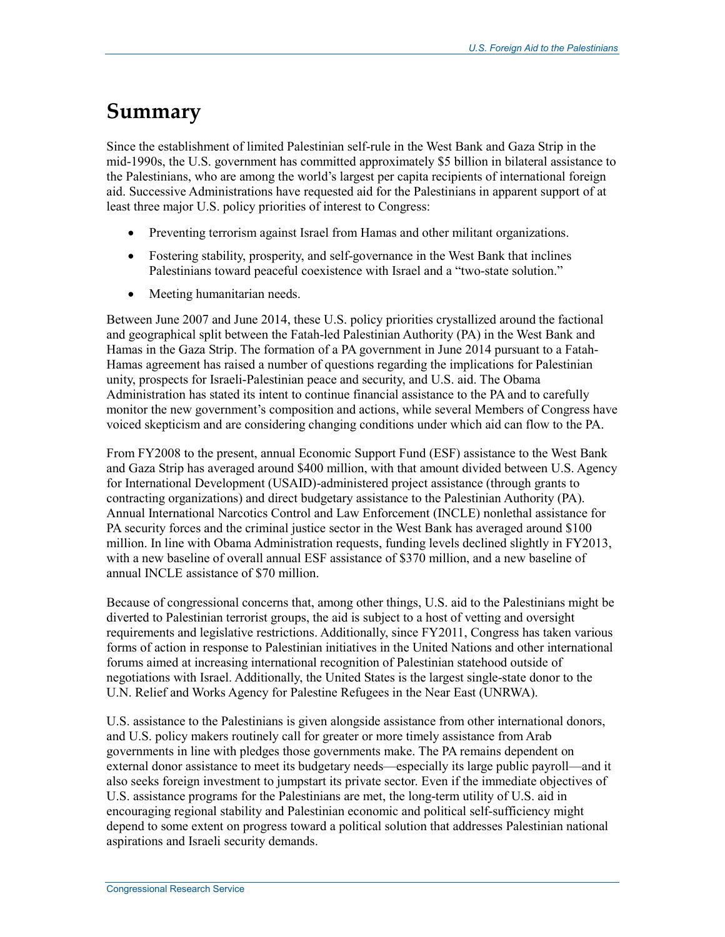## **Summary**

Since the establishment of limited Palestinian self-rule in the West Bank and Gaza Strip in the mid-1990s, the U.S. government has committed approximately \$5 billion in bilateral assistance to the Palestinians, who are among the world's largest per capita recipients of international foreign aid. Successive Administrations have requested aid for the Palestinians in apparent support of at least three major U.S. policy priorities of interest to Congress:

- Preventing terrorism against Israel from Hamas and other militant organizations.
- Fostering stability, prosperity, and self-governance in the West Bank that inclines Palestinians toward peaceful coexistence with Israel and a "two-state solution."
- Meeting humanitarian needs.

Between June 2007 and June 2014, these U.S. policy priorities crystallized around the factional and geographical split between the Fatah-led Palestinian Authority (PA) in the West Bank and Hamas in the Gaza Strip. The formation of a PA government in June 2014 pursuant to a Fatah-Hamas agreement has raised a number of questions regarding the implications for Palestinian unity, prospects for Israeli-Palestinian peace and security, and U.S. aid. The Obama Administration has stated its intent to continue financial assistance to the PA and to carefully monitor the new government's composition and actions, while several Members of Congress have voiced skepticism and are considering changing conditions under which aid can flow to the PA.

From FY2008 to the present, annual Economic Support Fund (ESF) assistance to the West Bank and Gaza Strip has averaged around \$400 million, with that amount divided between U.S. Agency for International Development (USAID)-administered project assistance (through grants to contracting organizations) and direct budgetary assistance to the Palestinian Authority (PA). Annual International Narcotics Control and Law Enforcement (INCLE) nonlethal assistance for PA security forces and the criminal justice sector in the West Bank has averaged around \$100 million. In line with Obama Administration requests, funding levels declined slightly in FY2013, with a new baseline of overall annual ESF assistance of \$370 million, and a new baseline of annual INCLE assistance of \$70 million.

Because of congressional concerns that, among other things, U.S. aid to the Palestinians might be diverted to Palestinian terrorist groups, the aid is subject to a host of vetting and oversight requirements and legislative restrictions. Additionally, since FY2011, Congress has taken various forms of action in response to Palestinian initiatives in the United Nations and other international forums aimed at increasing international recognition of Palestinian statehood outside of negotiations with Israel. Additionally, the United States is the largest single-state donor to the U.N. Relief and Works Agency for Palestine Refugees in the Near East (UNRWA).

U.S. assistance to the Palestinians is given alongside assistance from other international donors, and U.S. policy makers routinely call for greater or more timely assistance from Arab governments in line with pledges those governments make. The PA remains dependent on external donor assistance to meet its budgetary needs—especially its large public payroll—and it also seeks foreign investment to jumpstart its private sector. Even if the immediate objectives of U.S. assistance programs for the Palestinians are met, the long-term utility of U.S. aid in encouraging regional stability and Palestinian economic and political self-sufficiency might depend to some extent on progress toward a political solution that addresses Palestinian national aspirations and Israeli security demands.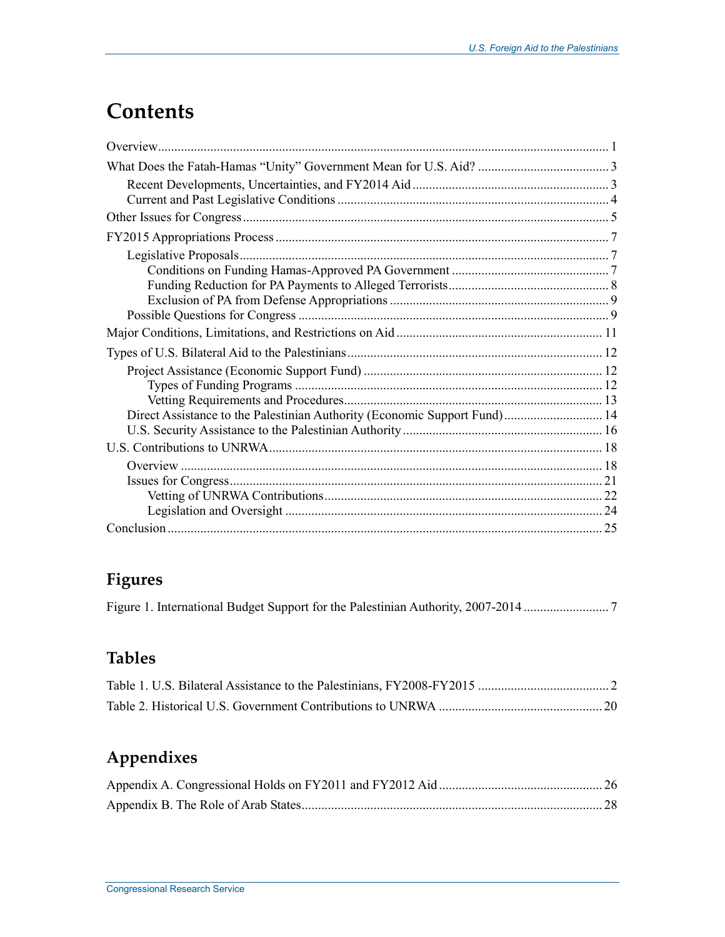## **Contents**

| Direct Assistance to the Palestinian Authority (Economic Support Fund) 14 |  |
|---------------------------------------------------------------------------|--|
|                                                                           |  |
|                                                                           |  |
|                                                                           |  |
|                                                                           |  |
|                                                                           |  |
|                                                                           |  |
|                                                                           |  |

## **Figures**

Figure 1. International Budget Support for the Palestinian Authority, 2007-2014 .......................... 7

## **Tables**

## **Appendixes**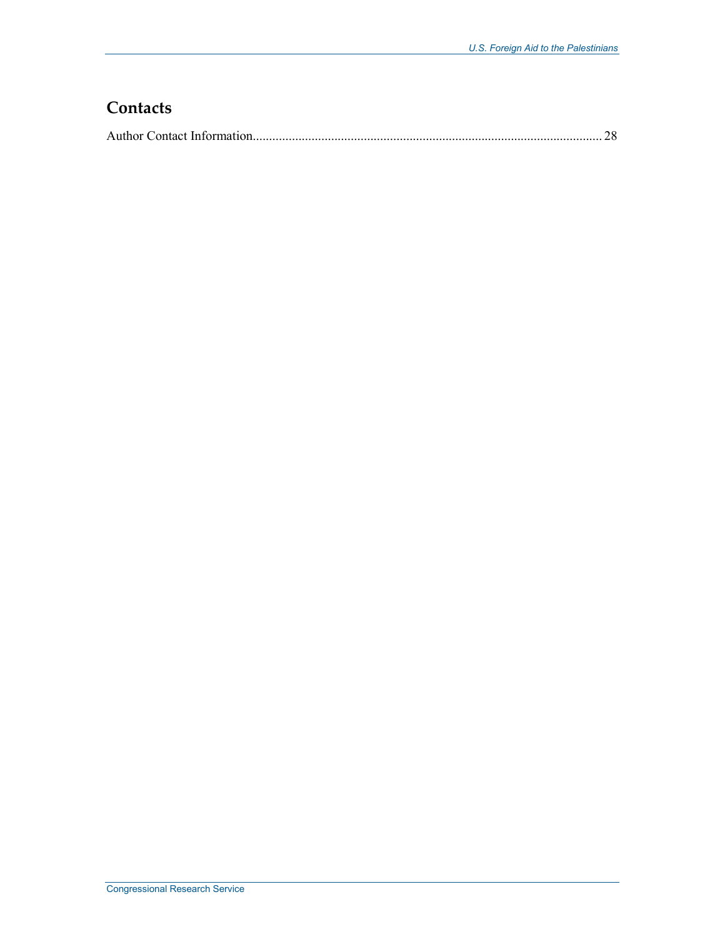## **Contacts**

|--|--|--|--|--|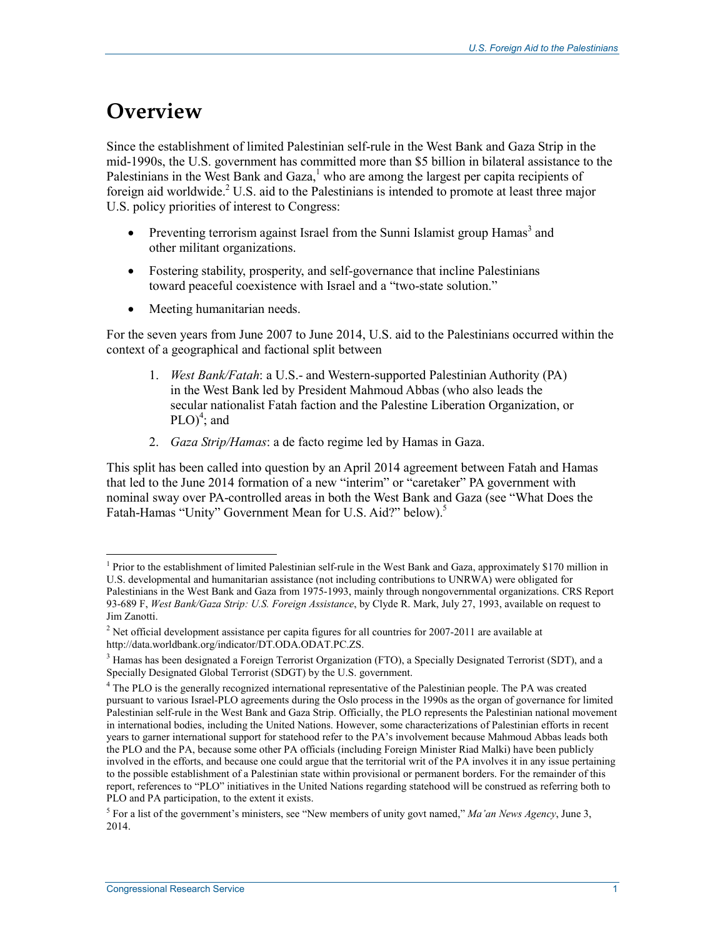## **Overview**

Since the establishment of limited Palestinian self-rule in the West Bank and Gaza Strip in the mid-1990s, the U.S. government has committed more than \$5 billion in bilateral assistance to the Palestinians in the West Bank and Gaza, $<sup>1</sup>$  who are among the largest per capita recipients of</sup> foreign aid worldwide.<sup>2</sup> U.S. aid to the Palestinians is intended to promote at least three major U.S. policy priorities of interest to Congress:

- Preventing terrorism against Israel from the Sunni Islamist group  $Hamas<sup>3</sup>$  and other militant organizations.
- Fostering stability, prosperity, and self-governance that incline Palestinians toward peaceful coexistence with Israel and a "two-state solution."
- Meeting humanitarian needs.

For the seven years from June 2007 to June 2014, U.S. aid to the Palestinians occurred within the context of a geographical and factional split between

- 1. *West Bank/Fatah*: a U.S.- and Western-supported Palestinian Authority (PA) in the West Bank led by President Mahmoud Abbas (who also leads the secular nationalist Fatah faction and the Palestine Liberation Organization, or  $PLO)^4$ ; and
- 2. *Gaza Strip/Hamas*: a de facto regime led by Hamas in Gaza.

This split has been called into question by an April 2014 agreement between Fatah and Hamas that led to the June 2014 formation of a new "interim" or "caretaker" PA government with nominal sway over PA-controlled areas in both the West Bank and Gaza (see "What Does the Fatah-Hamas "Unity" Government Mean for U.S. Aid?" below).<sup>5</sup>

<sup>&</sup>lt;u>.</u> <sup>1</sup> Prior to the establishment of limited Palestinian self-rule in the West Bank and Gaza, approximately \$170 million in U.S. developmental and humanitarian assistance (not including contributions to UNRWA) were obligated for Palestinians in the West Bank and Gaza from 1975-1993, mainly through nongovernmental organizations. CRS Report 93-689 F, *West Bank/Gaza Strip: U.S. Foreign Assistance*, by Clyde R. Mark, July 27, 1993, available on request to Jim Zanotti.

<sup>&</sup>lt;sup>2</sup> Net official development assistance per capita figures for all countries for 2007-2011 are available at http://data.worldbank.org/indicator/DT.ODA.ODAT.PC.ZS.

<sup>&</sup>lt;sup>3</sup> Hamas has been designated a Foreign Terrorist Organization (FTO), a Specially Designated Terrorist (SDT), and a Specially Designated Global Terrorist (SDGT) by the U.S. government.

<sup>&</sup>lt;sup>4</sup> The PLO is the generally recognized international representative of the Palestinian people. The PA was created pursuant to various Israel-PLO agreements during the Oslo process in the 1990s as the organ of governance for limited Palestinian self-rule in the West Bank and Gaza Strip. Officially, the PLO represents the Palestinian national movement in international bodies, including the United Nations. However, some characterizations of Palestinian efforts in recent years to garner international support for statehood refer to the PA's involvement because Mahmoud Abbas leads both the PLO and the PA, because some other PA officials (including Foreign Minister Riad Malki) have been publicly involved in the efforts, and because one could argue that the territorial writ of the PA involves it in any issue pertaining to the possible establishment of a Palestinian state within provisional or permanent borders. For the remainder of this report, references to "PLO" initiatives in the United Nations regarding statehood will be construed as referring both to PLO and PA participation, to the extent it exists.

<sup>5</sup> For a list of the government's ministers, see "New members of unity govt named," *Ma'an News Agency*, June 3, 2014.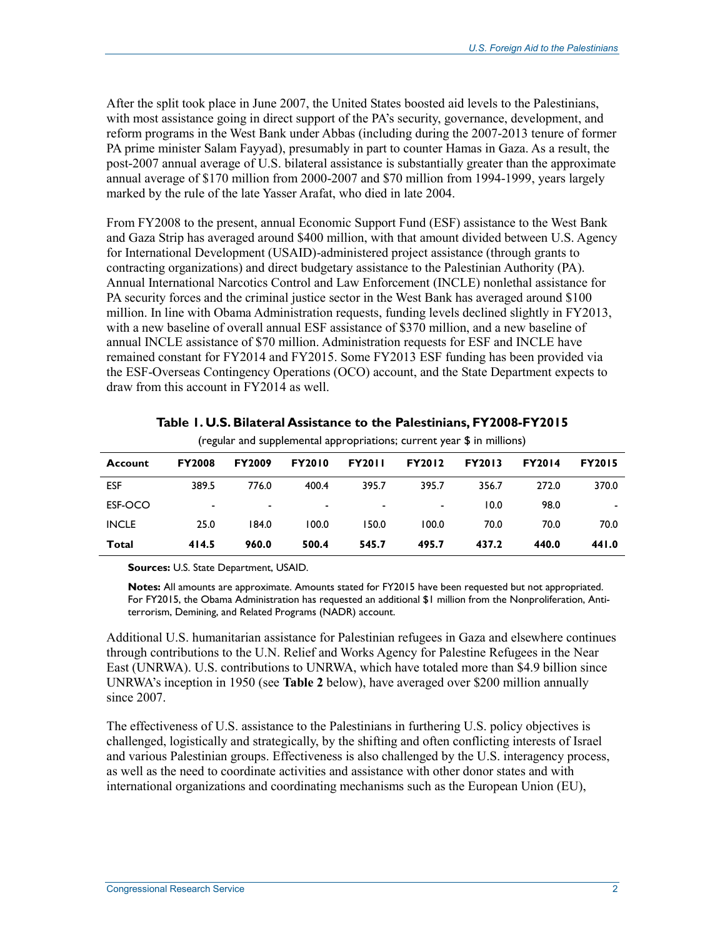After the split took place in June 2007, the United States boosted aid levels to the Palestinians, with most assistance going in direct support of the PA's security, governance, development, and reform programs in the West Bank under Abbas (including during the 2007-2013 tenure of former PA prime minister Salam Fayyad), presumably in part to counter Hamas in Gaza. As a result, the post-2007 annual average of U.S. bilateral assistance is substantially greater than the approximate annual average of \$170 million from 2000-2007 and \$70 million from 1994-1999, years largely marked by the rule of the late Yasser Arafat, who died in late 2004.

From FY2008 to the present, annual Economic Support Fund (ESF) assistance to the West Bank and Gaza Strip has averaged around \$400 million, with that amount divided between U.S. Agency for International Development (USAID)-administered project assistance (through grants to contracting organizations) and direct budgetary assistance to the Palestinian Authority (PA). Annual International Narcotics Control and Law Enforcement (INCLE) nonlethal assistance for PA security forces and the criminal justice sector in the West Bank has averaged around \$100 million. In line with Obama Administration requests, funding levels declined slightly in FY2013, with a new baseline of overall annual ESF assistance of \$370 million, and a new baseline of annual INCLE assistance of \$70 million. Administration requests for ESF and INCLE have remained constant for FY2014 and FY2015. Some FY2013 ESF funding has been provided via the ESF-Overseas Contingency Operations (OCO) account, and the State Department expects to draw from this account in FY2014 as well.

|              |               |               |                |               | (regular and supplemental appropriations; current year \$ in millions) |               |               |               |
|--------------|---------------|---------------|----------------|---------------|------------------------------------------------------------------------|---------------|---------------|---------------|
| Account      | <b>FY2008</b> | <b>FY2009</b> | <b>FY2010</b>  | <b>FY2011</b> | <b>FY2012</b>                                                          | <b>FY2013</b> | <b>FY2014</b> | <b>FY2015</b> |
| <b>ESF</b>   | 389.5         | 776.0         | 400.4          | 395.7         | 395.7                                                                  | 356.7         | 272.0         | 370.0         |
| ESF-OCO      | -             | ٠             | $\blacksquare$ | ۰             |                                                                        | 10.0          | 98.0          |               |
| <b>INCLE</b> | 25.0          | 184.0         | 100.0          | 150.0         | 100.0                                                                  | 70.0          | 70.0          | 70.0          |
| Total        | 414.5         | 960.0         | 500.4          | 545.7         | 495.7                                                                  | 437.2         | 440.0         | 441.0         |

**Table 1. U.S. Bilateral Assistance to the Palestinians, FY2008-FY2015** 

**Sources:** U.S. State Department, USAID.

**Notes:** All amounts are approximate. Amounts stated for FY2015 have been requested but not appropriated. For FY2015, the Obama Administration has requested an additional \$1 million from the Nonproliferation, Antiterrorism, Demining, and Related Programs (NADR) account.

Additional U.S. humanitarian assistance for Palestinian refugees in Gaza and elsewhere continues through contributions to the U.N. Relief and Works Agency for Palestine Refugees in the Near East (UNRWA). U.S. contributions to UNRWA, which have totaled more than \$4.9 billion since UNRWA's inception in 1950 (see **Table 2** below), have averaged over \$200 million annually since 2007.

The effectiveness of U.S. assistance to the Palestinians in furthering U.S. policy objectives is challenged, logistically and strategically, by the shifting and often conflicting interests of Israel and various Palestinian groups. Effectiveness is also challenged by the U.S. interagency process, as well as the need to coordinate activities and assistance with other donor states and with international organizations and coordinating mechanisms such as the European Union (EU),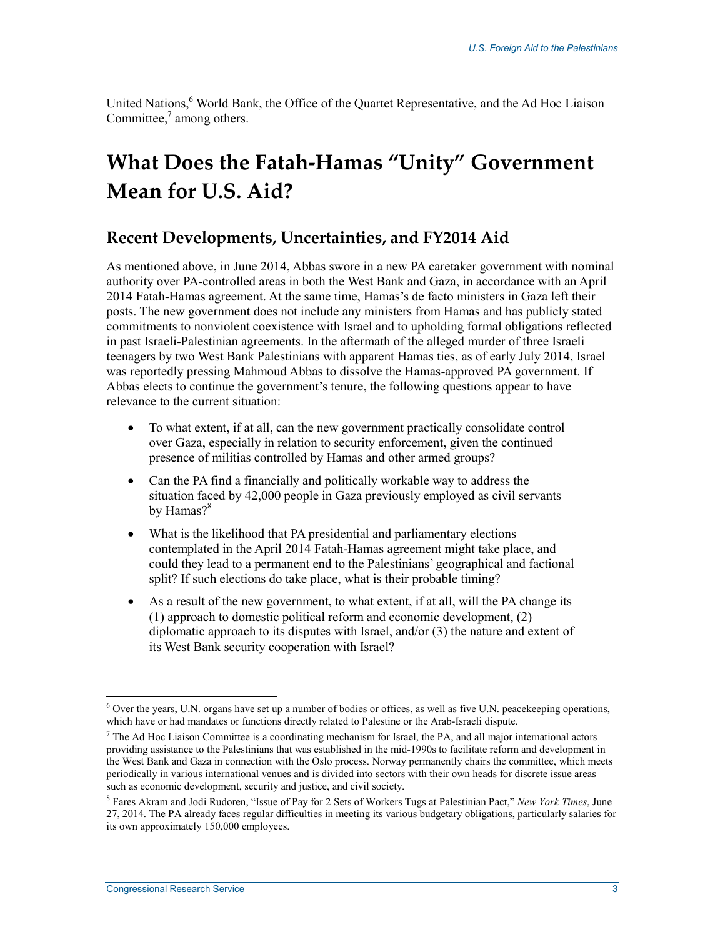United Nations,<sup>6</sup> World Bank, the Office of the Quartet Representative, and the Ad Hoc Liaison Committee, $\frac{7}{1}$  among others.

# **What Does the Fatah-Hamas "Unity" Government Mean for U.S. Aid?**

### **Recent Developments, Uncertainties, and FY2014 Aid**

As mentioned above, in June 2014, Abbas swore in a new PA caretaker government with nominal authority over PA-controlled areas in both the West Bank and Gaza, in accordance with an April 2014 Fatah-Hamas agreement. At the same time, Hamas's de facto ministers in Gaza left their posts. The new government does not include any ministers from Hamas and has publicly stated commitments to nonviolent coexistence with Israel and to upholding formal obligations reflected in past Israeli-Palestinian agreements. In the aftermath of the alleged murder of three Israeli teenagers by two West Bank Palestinians with apparent Hamas ties, as of early July 2014, Israel was reportedly pressing Mahmoud Abbas to dissolve the Hamas-approved PA government. If Abbas elects to continue the government's tenure, the following questions appear to have relevance to the current situation:

- To what extent, if at all, can the new government practically consolidate control over Gaza, especially in relation to security enforcement, given the continued presence of militias controlled by Hamas and other armed groups?
- Can the PA find a financially and politically workable way to address the situation faced by 42,000 people in Gaza previously employed as civil servants by Hamas?<sup>8</sup>
- What is the likelihood that PA presidential and parliamentary elections contemplated in the April 2014 Fatah-Hamas agreement might take place, and could they lead to a permanent end to the Palestinians' geographical and factional split? If such elections do take place, what is their probable timing?
- As a result of the new government, to what extent, if at all, will the PA change its (1) approach to domestic political reform and economic development, (2) diplomatic approach to its disputes with Israel, and/or (3) the nature and extent of its West Bank security cooperation with Israel?

<sup>1</sup> <sup>6</sup> Over the years, U.N. organs have set up a number of bodies or offices, as well as five U.N. peacekeeping operations, which have or had mandates or functions directly related to Palestine or the Arab-Israeli dispute.

 $<sup>7</sup>$  The Ad Hoc Liaison Committee is a coordinating mechanism for Israel, the PA, and all major international actors</sup> providing assistance to the Palestinians that was established in the mid-1990s to facilitate reform and development in the West Bank and Gaza in connection with the Oslo process. Norway permanently chairs the committee, which meets periodically in various international venues and is divided into sectors with their own heads for discrete issue areas such as economic development, security and justice, and civil society.

<sup>8</sup> Fares Akram and Jodi Rudoren, "Issue of Pay for 2 Sets of Workers Tugs at Palestinian Pact," *New York Times*, June 27, 2014. The PA already faces regular difficulties in meeting its various budgetary obligations, particularly salaries for its own approximately 150,000 employees.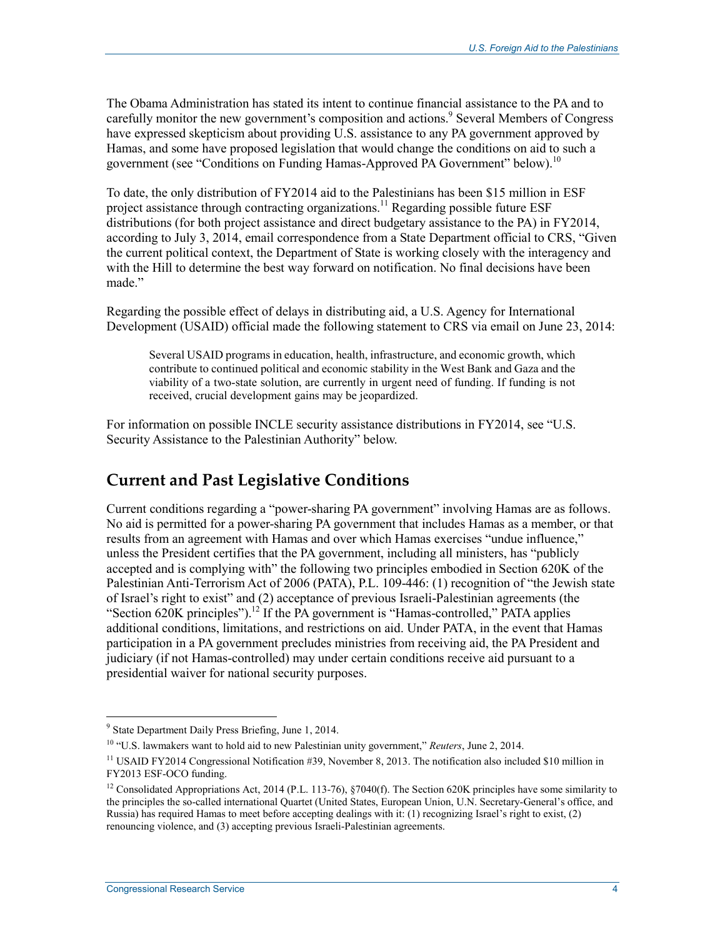The Obama Administration has stated its intent to continue financial assistance to the PA and to carefully monitor the new government's composition and actions.<sup>9</sup> Several Members of Congress have expressed skepticism about providing U.S. assistance to any PA government approved by Hamas, and some have proposed legislation that would change the conditions on aid to such a government (see "Conditions on Funding Hamas-Approved PA Government" below).<sup>10</sup>

To date, the only distribution of FY2014 aid to the Palestinians has been \$15 million in ESF project assistance through contracting organizations.<sup>11</sup> Regarding possible future ESF distributions (for both project assistance and direct budgetary assistance to the PA) in FY2014, according to July 3, 2014, email correspondence from a State Department official to CRS, "Given the current political context, the Department of State is working closely with the interagency and with the Hill to determine the best way forward on notification. No final decisions have been made."

Regarding the possible effect of delays in distributing aid, a U.S. Agency for International Development (USAID) official made the following statement to CRS via email on June 23, 2014:

Several USAID programs in education, health, infrastructure, and economic growth, which contribute to continued political and economic stability in the West Bank and Gaza and the viability of a two-state solution, are currently in urgent need of funding. If funding is not received, crucial development gains may be jeopardized.

For information on possible INCLE security assistance distributions in FY2014, see "U.S. Security Assistance to the Palestinian Authority" below.

## **Current and Past Legislative Conditions**

Current conditions regarding a "power-sharing PA government" involving Hamas are as follows. No aid is permitted for a power-sharing PA government that includes Hamas as a member, or that results from an agreement with Hamas and over which Hamas exercises "undue influence," unless the President certifies that the PA government, including all ministers, has "publicly accepted and is complying with" the following two principles embodied in Section 620K of the Palestinian Anti-Terrorism Act of 2006 (PATA), P.L. 109-446: (1) recognition of "the Jewish state of Israel's right to exist" and (2) acceptance of previous Israeli-Palestinian agreements (the "Section 620K principles").<sup>12</sup> If the PA government is "Hamas-controlled," PATA applies additional conditions, limitations, and restrictions on aid. Under PATA, in the event that Hamas participation in a PA government precludes ministries from receiving aid, the PA President and judiciary (if not Hamas-controlled) may under certain conditions receive aid pursuant to a presidential waiver for national security purposes.

**Extemporal Constructs:**<br><sup>9</sup> State Department Daily Press Briefing, June 1, 2014.

<sup>10 &</sup>quot;U.S. lawmakers want to hold aid to new Palestinian unity government," *Reuters*, June 2, 2014.

<sup>&</sup>lt;sup>11</sup> USAID FY2014 Congressional Notification #39, November 8, 2013. The notification also included \$10 million in FY2013 ESF-OCO funding.

<sup>&</sup>lt;sup>12</sup> Consolidated Appropriations Act, 2014 (P.L. 113-76), §7040(f). The Section 620K principles have some similarity to the principles the so-called international Quartet (United States, European Union, U.N. Secretary-General's office, and Russia) has required Hamas to meet before accepting dealings with it: (1) recognizing Israel's right to exist, (2) renouncing violence, and (3) accepting previous Israeli-Palestinian agreements.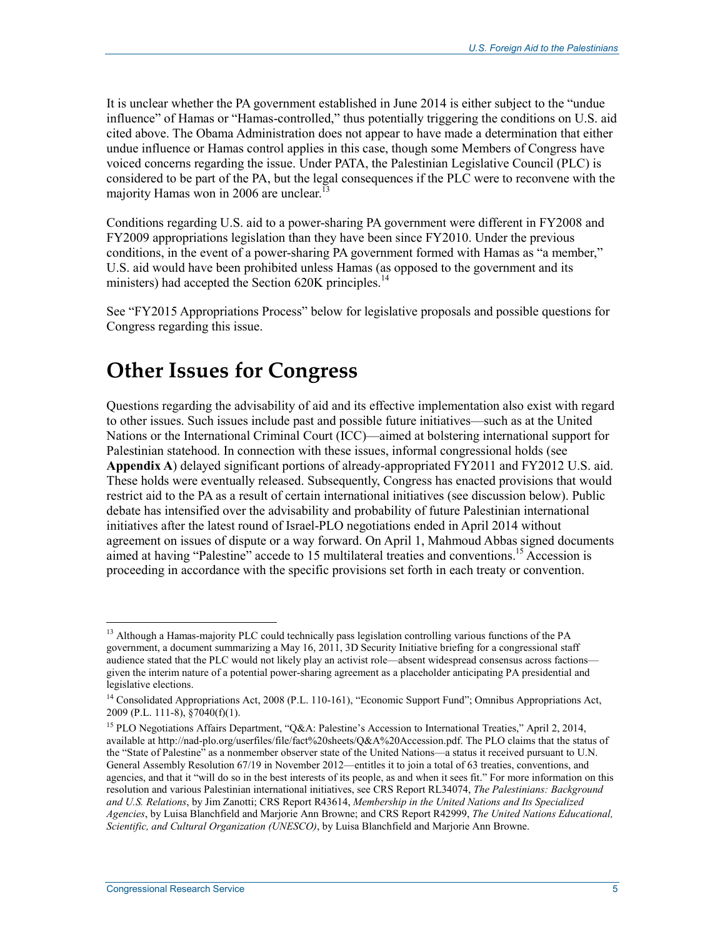It is unclear whether the PA government established in June 2014 is either subject to the "undue influence" of Hamas or "Hamas-controlled," thus potentially triggering the conditions on U.S. aid cited above. The Obama Administration does not appear to have made a determination that either undue influence or Hamas control applies in this case, though some Members of Congress have voiced concerns regarding the issue. Under PATA, the Palestinian Legislative Council (PLC) is considered to be part of the PA, but the legal consequences if the PLC were to reconvene with the majority Hamas won in 2006 are unclear.<sup>13</sup>

Conditions regarding U.S. aid to a power-sharing PA government were different in FY2008 and FY2009 appropriations legislation than they have been since FY2010. Under the previous conditions, in the event of a power-sharing PA government formed with Hamas as "a member," U.S. aid would have been prohibited unless Hamas (as opposed to the government and its ministers) had accepted the Section 620K principles.<sup>14</sup>

See "FY2015 Appropriations Process" below for legislative proposals and possible questions for Congress regarding this issue.

## **Other Issues for Congress**

Questions regarding the advisability of aid and its effective implementation also exist with regard to other issues. Such issues include past and possible future initiatives—such as at the United Nations or the International Criminal Court (ICC)—aimed at bolstering international support for Palestinian statehood. In connection with these issues, informal congressional holds (see **Appendix A**) delayed significant portions of already-appropriated FY2011 and FY2012 U.S. aid. These holds were eventually released. Subsequently, Congress has enacted provisions that would restrict aid to the PA as a result of certain international initiatives (see discussion below). Public debate has intensified over the advisability and probability of future Palestinian international initiatives after the latest round of Israel-PLO negotiations ended in April 2014 without agreement on issues of dispute or a way forward. On April 1, Mahmoud Abbas signed documents aimed at having "Palestine" accede to 15 multilateral treaties and conventions.15 Accession is proceeding in accordance with the specific provisions set forth in each treaty or convention.

<sup>&</sup>lt;u>.</u> <sup>13</sup> Although a Hamas-majority PLC could technically pass legislation controlling various functions of the PA government, a document summarizing a May 16, 2011, 3D Security Initiative briefing for a congressional staff audience stated that the PLC would not likely play an activist role—absent widespread consensus across factions given the interim nature of a potential power-sharing agreement as a placeholder anticipating PA presidential and legislative elections.

<sup>14</sup> Consolidated Appropriations Act, 2008 (P.L. 110-161), "Economic Support Fund"; Omnibus Appropriations Act, 2009 (P.L. 111-8), §7040(f)(1).

<sup>&</sup>lt;sup>15</sup> PLO Negotiations Affairs Department, "Q&A: Palestine's Accession to International Treaties," April 2, 2014, available at http://nad-plo.org/userfiles/file/fact%20sheets/Q&A%20Accession.pdf. The PLO claims that the status of the "State of Palestine" as a nonmember observer state of the United Nations—a status it received pursuant to U.N. General Assembly Resolution 67/19 in November 2012—entitles it to join a total of 63 treaties, conventions, and agencies, and that it "will do so in the best interests of its people, as and when it sees fit." For more information on this resolution and various Palestinian international initiatives, see CRS Report RL34074, *The Palestinians: Background and U.S. Relations*, by Jim Zanotti; CRS Report R43614, *Membership in the United Nations and Its Specialized Agencies*, by Luisa Blanchfield and Marjorie Ann Browne; and CRS Report R42999, *The United Nations Educational, Scientific, and Cultural Organization (UNESCO)*, by Luisa Blanchfield and Marjorie Ann Browne.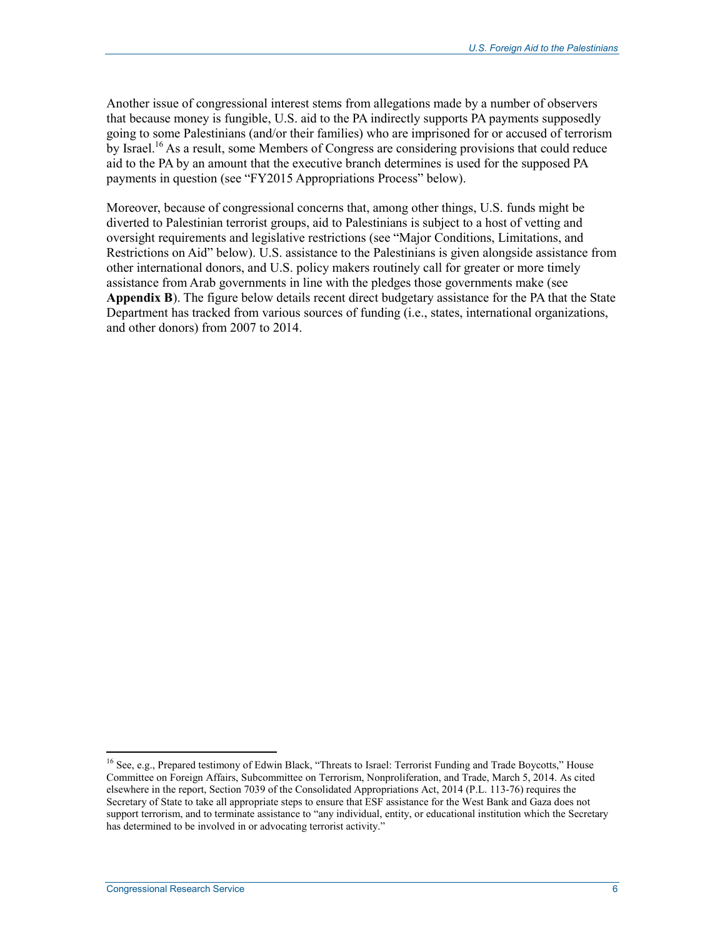Another issue of congressional interest stems from allegations made by a number of observers that because money is fungible, U.S. aid to the PA indirectly supports PA payments supposedly going to some Palestinians (and/or their families) who are imprisoned for or accused of terrorism by Israel.<sup>16</sup> As a result, some Members of Congress are considering provisions that could reduce aid to the PA by an amount that the executive branch determines is used for the supposed PA payments in question (see "FY2015 Appropriations Process" below).

Moreover, because of congressional concerns that, among other things, U.S. funds might be diverted to Palestinian terrorist groups, aid to Palestinians is subject to a host of vetting and oversight requirements and legislative restrictions (see "Major Conditions, Limitations, and Restrictions on Aid" below). U.S. assistance to the Palestinians is given alongside assistance from other international donors, and U.S. policy makers routinely call for greater or more timely assistance from Arab governments in line with the pledges those governments make (see **Appendix B**). The figure below details recent direct budgetary assistance for the PA that the State Department has tracked from various sources of funding (i.e., states, international organizations, and other donors) from 2007 to 2014.

<sup>&</sup>lt;sup>16</sup> See, e.g., Prepared testimony of Edwin Black, "Threats to Israel: Terrorist Funding and Trade Boycotts," House Committee on Foreign Affairs, Subcommittee on Terrorism, Nonproliferation, and Trade, March 5, 2014. As cited elsewhere in the report, Section 7039 of the Consolidated Appropriations Act, 2014 (P.L. 113-76) requires the Secretary of State to take all appropriate steps to ensure that ESF assistance for the West Bank and Gaza does not support terrorism, and to terminate assistance to "any individual, entity, or educational institution which the Secretary has determined to be involved in or advocating terrorist activity."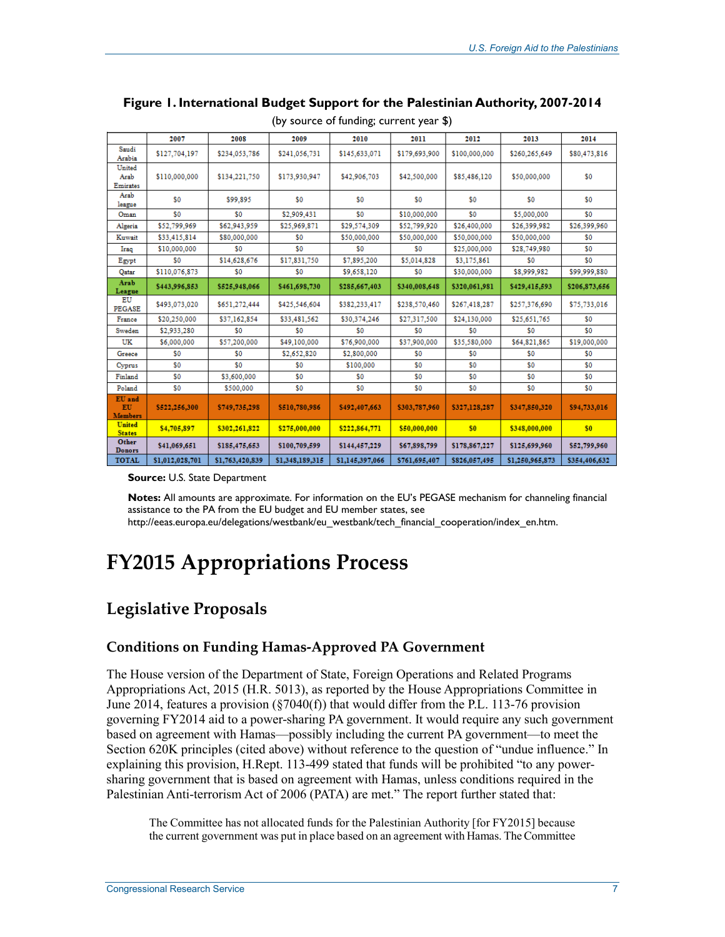|                                | 2007            | 2008            | 2009            | 2010            | 2011          | 2012          | 2013            | 2014          |
|--------------------------------|-----------------|-----------------|-----------------|-----------------|---------------|---------------|-----------------|---------------|
| Saudi<br>Arabia                | \$127,704,197   | \$234,053,786   | \$241,056,731   | \$145,633,071   | \$179,693,900 | \$100,000,000 | \$260,265,649   | \$80,473,816  |
| United                         |                 |                 |                 |                 |               |               |                 |               |
| Arab<br>Emirates               | \$110,000,000   | \$134,221,750   | \$173,930,947   | \$42,906,703    | \$42,500,000  | \$85,486,120  | \$50,000,000    | \$0           |
| Arab<br>league                 | \$0             | \$99,895        | \$0             | \$0             | \$0           | \$0           | \$0             | \$0           |
| Oman                           | \$0             | \$0             | \$2,909,431     | \$0             | \$10,000,000  | \$0           | \$5,000,000     | \$0           |
| Algeria                        | \$52,799,969    | \$62,943,959    | \$25,969,871    | \$29,574,309    | \$52,799,920  | \$26,400,000  | \$26,399,982    | \$26,399,960  |
| Kuwait                         | \$33,415,814    | \$80,000,000    | \$0             | \$50,000,000    | \$50,000,000  | \$50,000,000  | \$50,000,000    | \$0           |
| Iraq                           | \$10,000,000    | \$0             | \$0             | \$0             | \$0           | \$25,000,000  | \$28,749,980    | \$0           |
| Egypt                          | \$0             | \$14,628,676    | \$17,831,750    | \$7,895,200     | \$5,014,828   | \$3,175,861   | \$0             | \$0           |
| Qatar                          | \$110,076,873   | \$0             | \$0             | \$9,658,120     | \$0           | \$30,000,000  | \$8,999,982     | \$99,999,880  |
| Arab<br>League                 | \$443,996,853   | \$525,948,066   | \$461,698,730   | \$285,667,403   | \$340,008,648 | \$320,061,981 | \$429,415,593   | \$206,873,656 |
| EU<br><b>PEGASE</b>            | \$493,073,020   | \$651,272,444   | \$425,546,604   | \$382,233,417   | \$238,570,460 | \$267,418,287 | \$257,376,690   | \$75,733,016  |
| France                         | \$20,250,000    | \$37,162,854    | \$33,481,562    | \$30,374,246    | \$27,317,500  | \$24,130,000  | \$25,651,765    | \$0           |
| Sweden                         | \$2,933,280     | \$0             | \$0             | \$0             | \$0           | \$0           | \$0             | \$0           |
| UK                             | \$6,000,000     | \$57,200,000    | \$49,100,000    | \$76,900,000    | \$37,900,000  | \$35,580,000  | \$64,821,865    | \$19,000,000  |
| Greece                         | \$0             | \$0             | \$2,652,820     | \$2,800,000     | \$0           | \$0           | \$0             | \$0           |
| Cyprus                         | \$0             | \$0             | \$0             | \$100,000       | \$0           | \$0           | \$0             | \$0           |
| Finland                        | \$0             | \$3,600,000     | \$0             | \$0             | \$0           | \$0           | \$0             | \$0           |
| Poland                         | \$0             | \$500,000       | \$0             | \$0             | \$0           | \$0           | \$0             | \$0           |
| EU and<br>EU<br><b>Members</b> | \$522,256,300   | \$749,735,298   | \$510,780,986   | \$492,407,663   | \$303,787,960 | \$327,128,287 | \$347,850,320   | \$94,733,016  |
| <b>United</b><br><b>States</b> | \$4,705,897     | \$302,261,822   | \$275,000,000   | \$222,864,771   | \$50,000,000  | \$0           | \$348,000,000   | \$0           |
| Other<br><b>Donors</b>         | \$41,069,651    | \$185,475,653   | \$100,709,599   | \$144,457,229   | \$67,898,799  | \$178,867,227 | \$125,699,960   | \$52,799,960  |
| <b>TOTAL</b>                   | \$1,012,028,701 | \$1,763,420,839 | \$1,348,189,315 | \$1,145,397,066 | \$761,695,407 | \$826,057,495 | \$1,250,965,873 | \$354,406,632 |

**Figure 1. International Budget Support for the Palestinian Authority, 2007-2014**  (by source of funding; current year \$)

**Source:** U.S. State Department

**Notes:** All amounts are approximate. For information on the EU's PEGASE mechanism for channeling financial assistance to the PA from the EU budget and EU member states, see

http://eeas.europa.eu/delegations/westbank/eu\_westbank/tech\_financial\_cooperation/index\_en.htm.

## **FY2015 Appropriations Process**

## **Legislative Proposals**

#### **Conditions on Funding Hamas-Approved PA Government**

The House version of the Department of State, Foreign Operations and Related Programs Appropriations Act, 2015 (H.R. 5013), as reported by the House Appropriations Committee in June 2014, features a provision (§7040(f)) that would differ from the P.L. 113-76 provision governing FY2014 aid to a power-sharing PA government. It would require any such government based on agreement with Hamas—possibly including the current PA government—to meet the Section 620K principles (cited above) without reference to the question of "undue influence." In explaining this provision, H.Rept. 113-499 stated that funds will be prohibited "to any powersharing government that is based on agreement with Hamas, unless conditions required in the Palestinian Anti-terrorism Act of 2006 (PATA) are met." The report further stated that:

The Committee has not allocated funds for the Palestinian Authority [for FY2015] because the current government was put in place based on an agreement with Hamas. The Committee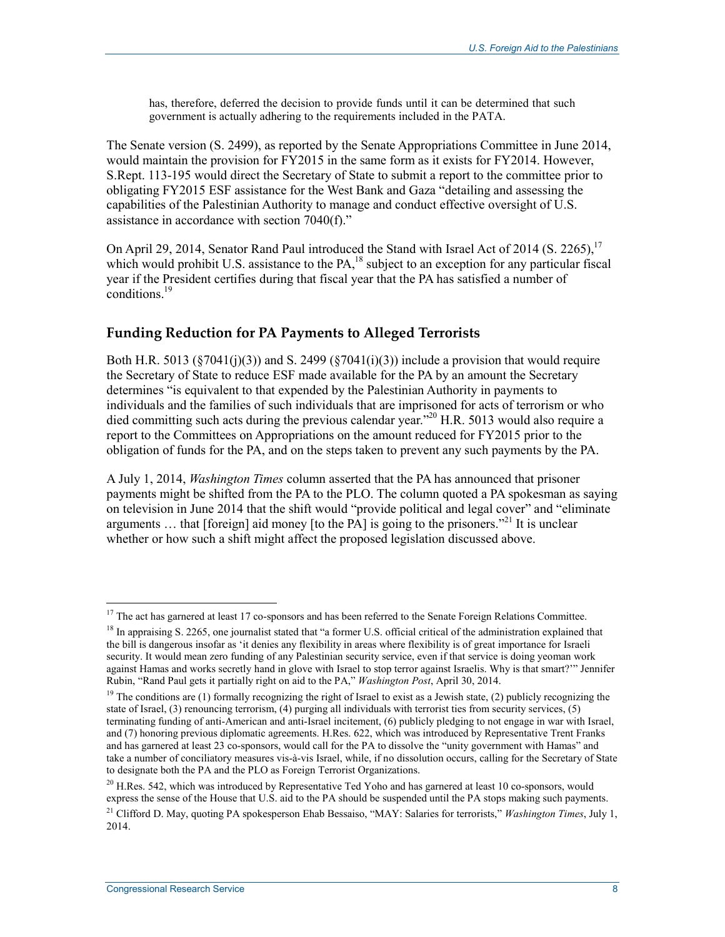has, therefore, deferred the decision to provide funds until it can be determined that such government is actually adhering to the requirements included in the PATA.

The Senate version (S. 2499), as reported by the Senate Appropriations Committee in June 2014, would maintain the provision for FY2015 in the same form as it exists for FY2014. However, S.Rept. 113-195 would direct the Secretary of State to submit a report to the committee prior to obligating FY2015 ESF assistance for the West Bank and Gaza "detailing and assessing the capabilities of the Palestinian Authority to manage and conduct effective oversight of U.S. assistance in accordance with section 7040(f)."

On April 29, 2014, Senator Rand Paul introduced the Stand with Israel Act of 2014 (S. 2265).<sup>17</sup> which would prohibit U.S. assistance to the PA,<sup>18</sup> subject to an exception for any particular fiscal year if the President certifies during that fiscal year that the PA has satisfied a number of  $\epsilon$  conditions.<sup>19</sup>

#### **Funding Reduction for PA Payments to Alleged Terrorists**

Both H.R. 5013 ( $\S7041(i)(3)$ ) and S. 2499 ( $\S7041(i)(3)$ ) include a provision that would require the Secretary of State to reduce ESF made available for the PA by an amount the Secretary determines "is equivalent to that expended by the Palestinian Authority in payments to individuals and the families of such individuals that are imprisoned for acts of terrorism or who died committing such acts during the previous calendar year."<sup>20</sup> H.R. 5013 would also require a report to the Committees on Appropriations on the amount reduced for FY2015 prior to the obligation of funds for the PA, and on the steps taken to prevent any such payments by the PA.

A July 1, 2014, *Washington Times* column asserted that the PA has announced that prisoner payments might be shifted from the PA to the PLO. The column quoted a PA spokesman as saying on television in June 2014 that the shift would "provide political and legal cover" and "eliminate arguments  $\ldots$  that [foreign] aid money [to the PA] is going to the prisoners.<sup>221</sup> It is unclear whether or how such a shift might affect the proposed legislation discussed above.

 $17$  The act has garnered at least 17 co-sponsors and has been referred to the Senate Foreign Relations Committee.

<sup>&</sup>lt;sup>18</sup> In appraising S. 2265, one journalist stated that "a former U.S. official critical of the administration explained that the bill is dangerous insofar as 'it denies any flexibility in areas where flexibility is of great importance for Israeli security. It would mean zero funding of any Palestinian security service, even if that service is doing yeoman work against Hamas and works secretly hand in glove with Israel to stop terror against Israelis. Why is that smart?'" Jennifer Rubin, "Rand Paul gets it partially right on aid to the PA," *Washington Post*, April 30, 2014.

<sup>&</sup>lt;sup>19</sup> The conditions are (1) formally recognizing the right of Israel to exist as a Jewish state, (2) publicly recognizing the state of Israel, (3) renouncing terrorism, (4) purging all individuals with terrorist ties from security services, (5) terminating funding of anti-American and anti-Israel incitement, (6) publicly pledging to not engage in war with Israel, and (7) honoring previous diplomatic agreements. H.Res. 622, which was introduced by Representative Trent Franks and has garnered at least 23 co-sponsors, would call for the PA to dissolve the "unity government with Hamas" and take a number of conciliatory measures vis-à-vis Israel, while, if no dissolution occurs, calling for the Secretary of State to designate both the PA and the PLO as Foreign Terrorist Organizations.

 $^{20}$  H.Res. 542, which was introduced by Representative Ted Yoho and has garnered at least 10 co-sponsors, would express the sense of the House that U.S. aid to the PA should be suspended until the PA stops making such payments. 21 Clifford D. May, quoting PA spokesperson Ehab Bessaiso, "MAY: Salaries for terrorists," *Washington Times*, July 1,

<sup>2014.</sup>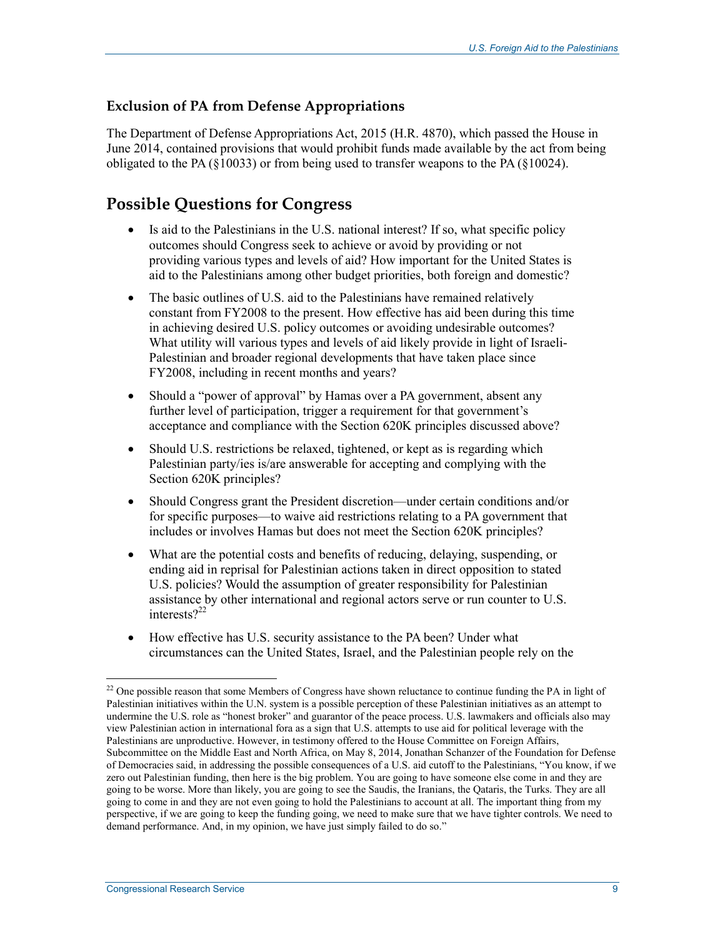#### **Exclusion of PA from Defense Appropriations**

The Department of Defense Appropriations Act, 2015 (H.R. 4870), which passed the House in June 2014, contained provisions that would prohibit funds made available by the act from being obligated to the PA ( $\S$ 10033) or from being used to transfer weapons to the PA ( $\S$ 10024).

### **Possible Questions for Congress**

- Is aid to the Palestinians in the U.S. national interest? If so, what specific policy outcomes should Congress seek to achieve or avoid by providing or not providing various types and levels of aid? How important for the United States is aid to the Palestinians among other budget priorities, both foreign and domestic?
- The basic outlines of U.S. aid to the Palestinians have remained relatively constant from FY2008 to the present. How effective has aid been during this time in achieving desired U.S. policy outcomes or avoiding undesirable outcomes? What utility will various types and levels of aid likely provide in light of Israeli-Palestinian and broader regional developments that have taken place since FY2008, including in recent months and years?
- Should a "power of approval" by Hamas over a PA government, absent any further level of participation, trigger a requirement for that government's acceptance and compliance with the Section 620K principles discussed above?
- Should U.S. restrictions be relaxed, tightened, or kept as is regarding which Palestinian party/ies is/are answerable for accepting and complying with the Section 620K principles?
- Should Congress grant the President discretion—under certain conditions and/or for specific purposes—to waive aid restrictions relating to a PA government that includes or involves Hamas but does not meet the Section 620K principles?
- What are the potential costs and benefits of reducing, delaying, suspending, or ending aid in reprisal for Palestinian actions taken in direct opposition to stated U.S. policies? Would the assumption of greater responsibility for Palestinian assistance by other international and regional actors serve or run counter to U.S. interests $2^{22}$
- How effective has U.S. security assistance to the PA been? Under what circumstances can the United States, Israel, and the Palestinian people rely on the

<sup>1</sup> <sup>22</sup> One possible reason that some Members of Congress have shown reluctance to continue funding the PA in light of Palestinian initiatives within the U.N. system is a possible perception of these Palestinian initiatives as an attempt to undermine the U.S. role as "honest broker" and guarantor of the peace process. U.S. lawmakers and officials also may view Palestinian action in international fora as a sign that U.S. attempts to use aid for political leverage with the Palestinians are unproductive. However, in testimony offered to the House Committee on Foreign Affairs, Subcommittee on the Middle East and North Africa, on May 8, 2014, Jonathan Schanzer of the Foundation for Defense of Democracies said, in addressing the possible consequences of a U.S. aid cutoff to the Palestinians, "You know, if we zero out Palestinian funding, then here is the big problem. You are going to have someone else come in and they are going to be worse. More than likely, you are going to see the Saudis, the Iranians, the Qataris, the Turks. They are all going to come in and they are not even going to hold the Palestinians to account at all. The important thing from my perspective, if we are going to keep the funding going, we need to make sure that we have tighter controls. We need to demand performance. And, in my opinion, we have just simply failed to do so."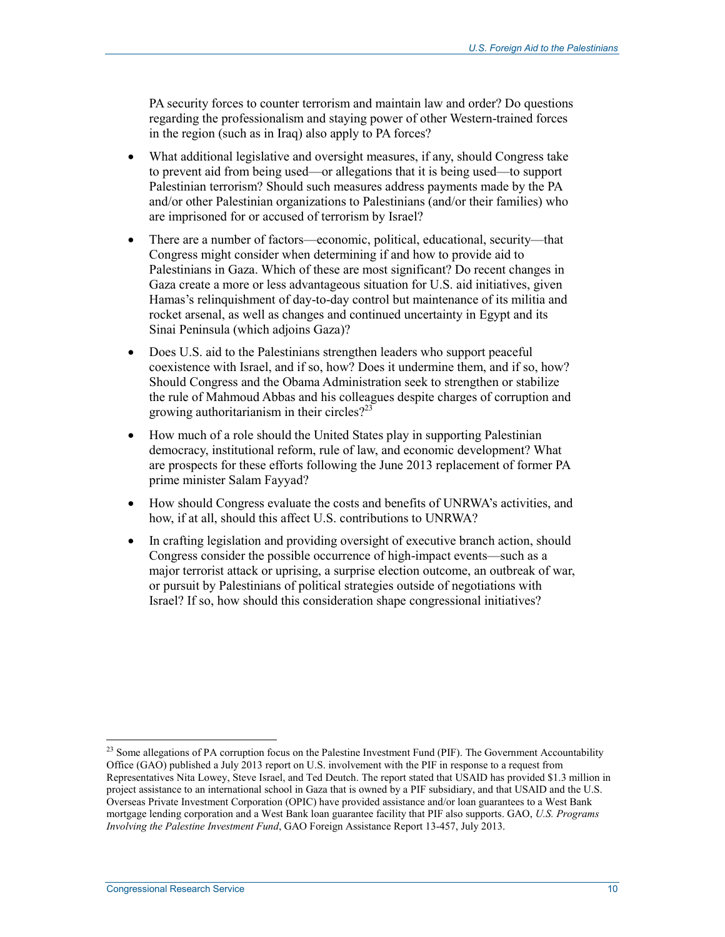PA security forces to counter terrorism and maintain law and order? Do questions regarding the professionalism and staying power of other Western-trained forces in the region (such as in Iraq) also apply to PA forces?

- What additional legislative and oversight measures, if any, should Congress take to prevent aid from being used—or allegations that it is being used—to support Palestinian terrorism? Should such measures address payments made by the PA and/or other Palestinian organizations to Palestinians (and/or their families) who are imprisoned for or accused of terrorism by Israel?
- There are a number of factors—economic, political, educational, security—that Congress might consider when determining if and how to provide aid to Palestinians in Gaza. Which of these are most significant? Do recent changes in Gaza create a more or less advantageous situation for U.S. aid initiatives, given Hamas's relinquishment of day-to-day control but maintenance of its militia and rocket arsenal, as well as changes and continued uncertainty in Egypt and its Sinai Peninsula (which adjoins Gaza)?
- Does U.S. aid to the Palestinians strengthen leaders who support peaceful coexistence with Israel, and if so, how? Does it undermine them, and if so, how? Should Congress and the Obama Administration seek to strengthen or stabilize the rule of Mahmoud Abbas and his colleagues despite charges of corruption and growing authoritarianism in their circles? $2^{23}$
- How much of a role should the United States play in supporting Palestinian democracy, institutional reform, rule of law, and economic development? What are prospects for these efforts following the June 2013 replacement of former PA prime minister Salam Fayyad?
- How should Congress evaluate the costs and benefits of UNRWA's activities, and how, if at all, should this affect U.S. contributions to UNRWA?
- In crafting legislation and providing oversight of executive branch action, should Congress consider the possible occurrence of high-impact events—such as a major terrorist attack or uprising, a surprise election outcome, an outbreak of war, or pursuit by Palestinians of political strategies outside of negotiations with Israel? If so, how should this consideration shape congressional initiatives?

 $2<sup>23</sup>$  Some allegations of PA corruption focus on the Palestine Investment Fund (PIF). The Government Accountability Office (GAO) published a July 2013 report on U.S. involvement with the PIF in response to a request from Representatives Nita Lowey, Steve Israel, and Ted Deutch. The report stated that USAID has provided \$1.3 million in project assistance to an international school in Gaza that is owned by a PIF subsidiary, and that USAID and the U.S. Overseas Private Investment Corporation (OPIC) have provided assistance and/or loan guarantees to a West Bank mortgage lending corporation and a West Bank loan guarantee facility that PIF also supports. GAO, *U.S. Programs Involving the Palestine Investment Fund*, GAO Foreign Assistance Report 13-457, July 2013.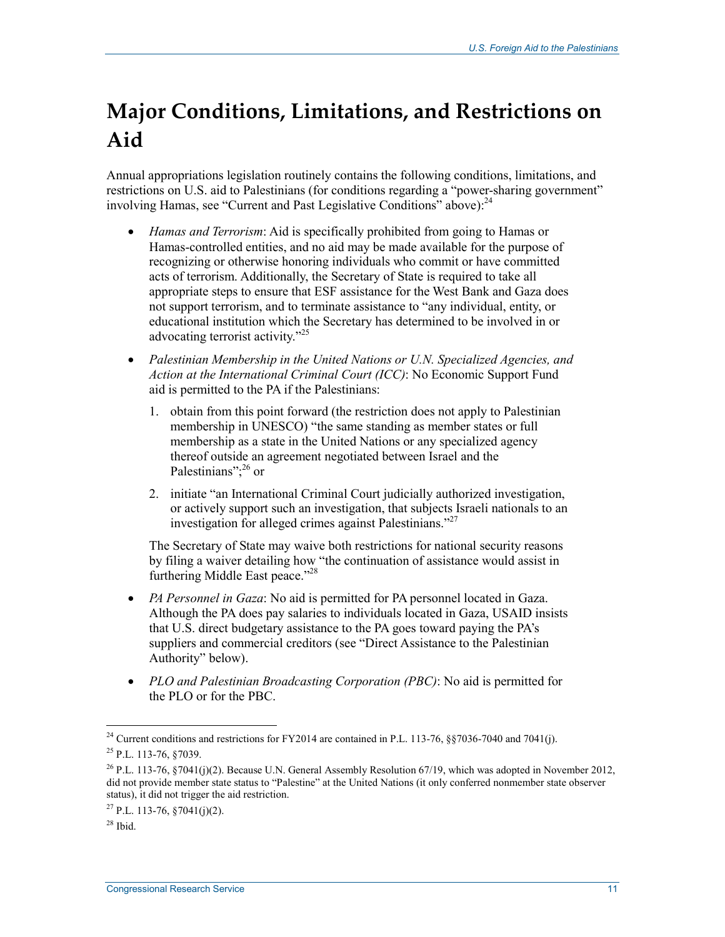# **Major Conditions, Limitations, and Restrictions on Aid**

Annual appropriations legislation routinely contains the following conditions, limitations, and restrictions on U.S. aid to Palestinians (for conditions regarding a "power-sharing government" involving Hamas, see "Current and Past Legislative Conditions" above):<sup>24</sup>

- *Hamas and Terrorism*: Aid is specifically prohibited from going to Hamas or Hamas-controlled entities, and no aid may be made available for the purpose of recognizing or otherwise honoring individuals who commit or have committed acts of terrorism. Additionally, the Secretary of State is required to take all appropriate steps to ensure that ESF assistance for the West Bank and Gaza does not support terrorism, and to terminate assistance to "any individual, entity, or educational institution which the Secretary has determined to be involved in or advocating terrorist activity."25
- *Palestinian Membership in the United Nations or U.N. Specialized Agencies, and Action at the International Criminal Court (ICC)*: No Economic Support Fund aid is permitted to the PA if the Palestinians:
	- 1. obtain from this point forward (the restriction does not apply to Palestinian membership in UNESCO) "the same standing as member states or full membership as a state in the United Nations or any specialized agency thereof outside an agreement negotiated between Israel and the Palestinians":<sup>26</sup> or
	- 2. initiate "an International Criminal Court judicially authorized investigation, or actively support such an investigation, that subjects Israeli nationals to an investigation for alleged crimes against Palestinians."27

The Secretary of State may waive both restrictions for national security reasons by filing a waiver detailing how "the continuation of assistance would assist in furthering Middle East peace."<sup>28</sup>

- *PA Personnel in Gaza*: No aid is permitted for PA personnel located in Gaza. Although the PA does pay salaries to individuals located in Gaza, USAID insists that U.S. direct budgetary assistance to the PA goes toward paying the PA's suppliers and commercial creditors (see "Direct Assistance to the Palestinian Authority" below).
- *PLO and Palestinian Broadcasting Corporation (PBC)*: No aid is permitted for the PLO or for the PBC.

<sup>1</sup> <sup>24</sup> Current conditions and restrictions for FY2014 are contained in P.L. 113-76, §§7036-7040 and 7041(j). 25 P.L. 113-76, §7039.

<sup>&</sup>lt;sup>26</sup> P.L. 113-76, §7041(j)(2). Because U.N. General Assembly Resolution 67/19, which was adopted in November 2012, did not provide member state status to "Palestine" at the United Nations (it only conferred nonmember state observer status), it did not trigger the aid restriction.

 $^{27}$  P.L. 113-76, 87041(j)(2).

 $28$  Ibid.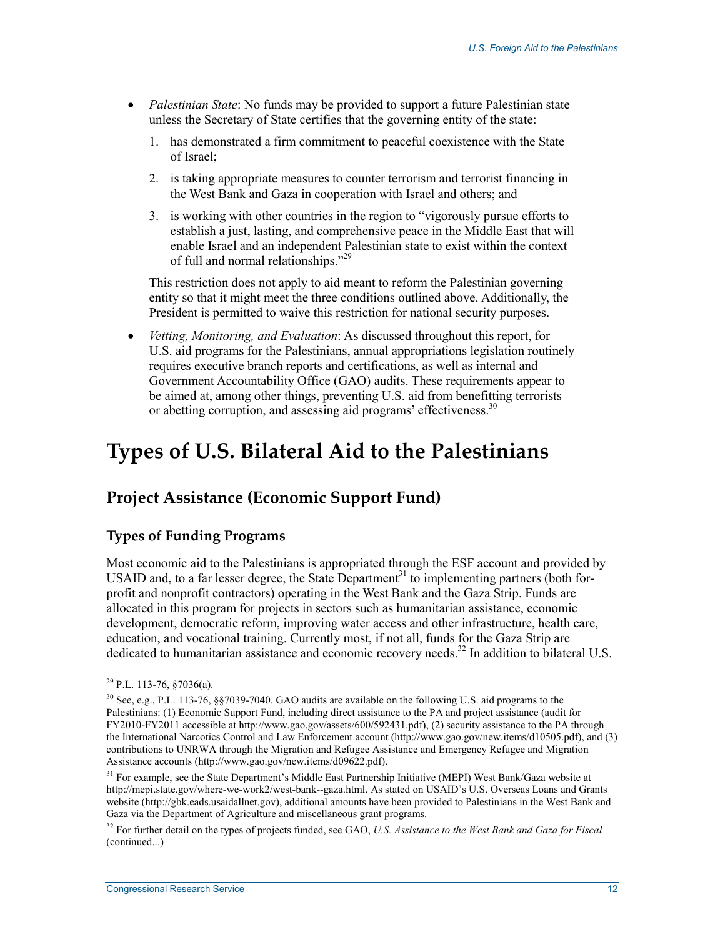- *Palestinian State*: No funds may be provided to support a future Palestinian state unless the Secretary of State certifies that the governing entity of the state:
	- 1. has demonstrated a firm commitment to peaceful coexistence with the State of Israel;
	- 2. is taking appropriate measures to counter terrorism and terrorist financing in the West Bank and Gaza in cooperation with Israel and others; and
	- 3. is working with other countries in the region to "vigorously pursue efforts to establish a just, lasting, and comprehensive peace in the Middle East that will enable Israel and an independent Palestinian state to exist within the context of full and normal relationships."29

This restriction does not apply to aid meant to reform the Palestinian governing entity so that it might meet the three conditions outlined above. Additionally, the President is permitted to waive this restriction for national security purposes.

• *Vetting, Monitoring, and Evaluation*: As discussed throughout this report, for U.S. aid programs for the Palestinians, annual appropriations legislation routinely requires executive branch reports and certifications, as well as internal and Government Accountability Office (GAO) audits. These requirements appear to be aimed at, among other things, preventing U.S. aid from benefitting terrorists or abetting corruption, and assessing aid programs' effectiveness.<sup>30</sup>

## **Types of U.S. Bilateral Aid to the Palestinians**

## **Project Assistance (Economic Support Fund)**

#### **Types of Funding Programs**

Most economic aid to the Palestinians is appropriated through the ESF account and provided by USAID and, to a far lesser degree, the State Department<sup>31</sup> to implementing partners (both forprofit and nonprofit contractors) operating in the West Bank and the Gaza Strip. Funds are allocated in this program for projects in sectors such as humanitarian assistance, economic development, democratic reform, improving water access and other infrastructure, health care, education, and vocational training. Currently most, if not all, funds for the Gaza Strip are dedicated to humanitarian assistance and economic recovery needs.<sup>32</sup> In addition to bilateral U.S.

 $^{29}$  P.L. 113-76, §7036(a).

<sup>30</sup> See, e.g., P.L. 113-76, §§7039-7040. GAO audits are available on the following U.S. aid programs to the Palestinians: (1) Economic Support Fund, including direct assistance to the PA and project assistance (audit for FY2010-FY2011 accessible at http://www.gao.gov/assets/600/592431.pdf), (2) security assistance to the PA through the International Narcotics Control and Law Enforcement account (http://www.gao.gov/new.items/d10505.pdf), and (3) contributions to UNRWA through the Migration and Refugee Assistance and Emergency Refugee and Migration Assistance accounts (http://www.gao.gov/new.items/d09622.pdf).

<sup>&</sup>lt;sup>31</sup> For example, see the State Department's Middle East Partnership Initiative (MEPI) West Bank/Gaza website at http://mepi.state.gov/where-we-work2/west-bank--gaza.html. As stated on USAID's U.S. Overseas Loans and Grants website (http://gbk.eads.usaidallnet.gov), additional amounts have been provided to Palestinians in the West Bank and Gaza via the Department of Agriculture and miscellaneous grant programs.

<sup>32</sup> For further detail on the types of projects funded, see GAO, *U.S. Assistance to the West Bank and Gaza for Fiscal*  (continued...)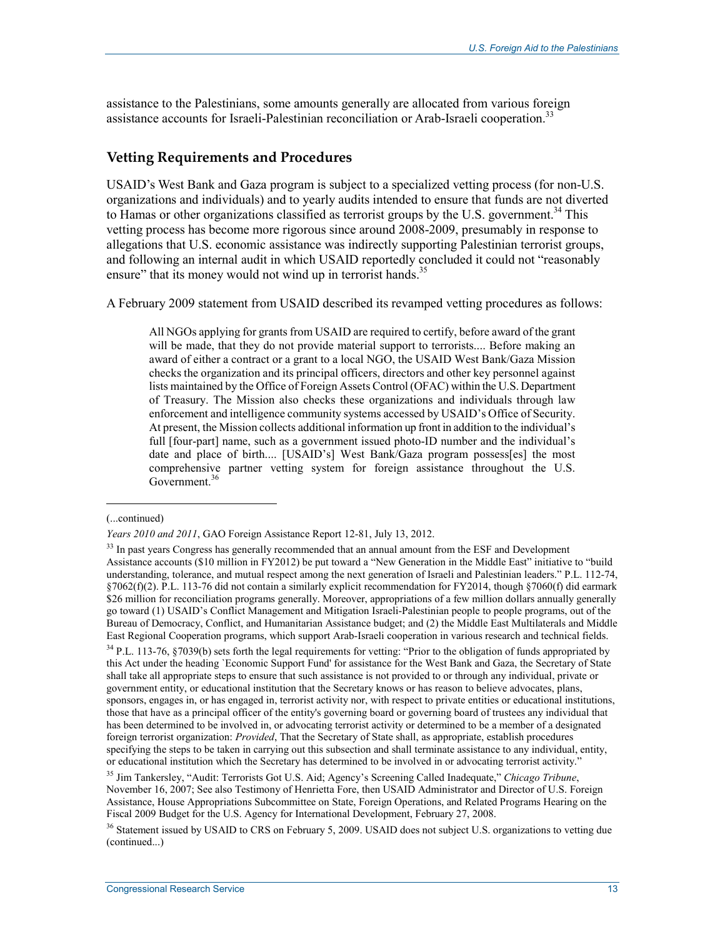assistance to the Palestinians, some amounts generally are allocated from various foreign assistance accounts for Israeli-Palestinian reconciliation or Arab-Israeli cooperation.<sup>33</sup>

#### **Vetting Requirements and Procedures**

USAID's West Bank and Gaza program is subject to a specialized vetting process (for non-U.S. organizations and individuals) and to yearly audits intended to ensure that funds are not diverted to Hamas or other organizations classified as terrorist groups by the U.S. government.<sup>34</sup> This vetting process has become more rigorous since around 2008-2009, presumably in response to allegations that U.S. economic assistance was indirectly supporting Palestinian terrorist groups, and following an internal audit in which USAID reportedly concluded it could not "reasonably ensure" that its money would not wind up in terrorist hands.<sup>35</sup>

A February 2009 statement from USAID described its revamped vetting procedures as follows:

All NGOs applying for grants from USAID are required to certify, before award of the grant will be made, that they do not provide material support to terrorists.... Before making an award of either a contract or a grant to a local NGO, the USAID West Bank/Gaza Mission checks the organization and its principal officers, directors and other key personnel against lists maintained by the Office of Foreign Assets Control (OFAC) within the U.S. Department of Treasury. The Mission also checks these organizations and individuals through law enforcement and intelligence community systems accessed by USAID's Office of Security. At present, the Mission collects additional information up front in addition to the individual's full [four-part] name, such as a government issued photo-ID number and the individual's date and place of birth.... [USAID's] West Bank/Gaza program possess[es] the most comprehensive partner vetting system for foreign assistance throughout the U.S. Government.<sup>36</sup>

<sup>(...</sup>continued)

*Years 2010 and 2011*, GAO Foreign Assistance Report 12-81, July 13, 2012.

<sup>&</sup>lt;sup>33</sup> In past years Congress has generally recommended that an annual amount from the ESF and Development Assistance accounts (\$10 million in FY2012) be put toward a "New Generation in the Middle East" initiative to "build understanding, tolerance, and mutual respect among the next generation of Israeli and Palestinian leaders." P.L. 112-74, §7062(f)(2). P.L. 113-76 did not contain a similarly explicit recommendation for FY2014, though §7060(f) did earmark \$26 million for reconciliation programs generally. Moreover, appropriations of a few million dollars annually generally go toward (1) USAID's Conflict Management and Mitigation Israeli-Palestinian people to people programs, out of the Bureau of Democracy, Conflict, and Humanitarian Assistance budget; and (2) the Middle East Multilaterals and Middle East Regional Cooperation programs, which support Arab-Israeli cooperation in various research and technical fields.

 $34$  P.L. 113-76, §7039(b) sets forth the legal requirements for vetting: "Prior to the obligation of funds appropriated by this Act under the heading `Economic Support Fund' for assistance for the West Bank and Gaza, the Secretary of State shall take all appropriate steps to ensure that such assistance is not provided to or through any individual, private or government entity, or educational institution that the Secretary knows or has reason to believe advocates, plans, sponsors, engages in, or has engaged in, terrorist activity nor, with respect to private entities or educational institutions, those that have as a principal officer of the entity's governing board or governing board of trustees any individual that has been determined to be involved in, or advocating terrorist activity or determined to be a member of a designated foreign terrorist organization: *Provided*, That the Secretary of State shall, as appropriate, establish procedures specifying the steps to be taken in carrying out this subsection and shall terminate assistance to any individual, entity, or educational institution which the Secretary has determined to be involved in or advocating terrorist activity."

<sup>35</sup> Jim Tankersley, "Audit: Terrorists Got U.S. Aid; Agency's Screening Called Inadequate," *Chicago Tribune*, November 16, 2007; See also Testimony of Henrietta Fore, then USAID Administrator and Director of U.S. Foreign Assistance, House Appropriations Subcommittee on State, Foreign Operations, and Related Programs Hearing on the Fiscal 2009 Budget for the U.S. Agency for International Development, February 27, 2008.

 $36$  Statement issued by USAID to CRS on February 5, 2009. USAID does not subject U.S. organizations to vetting due (continued...)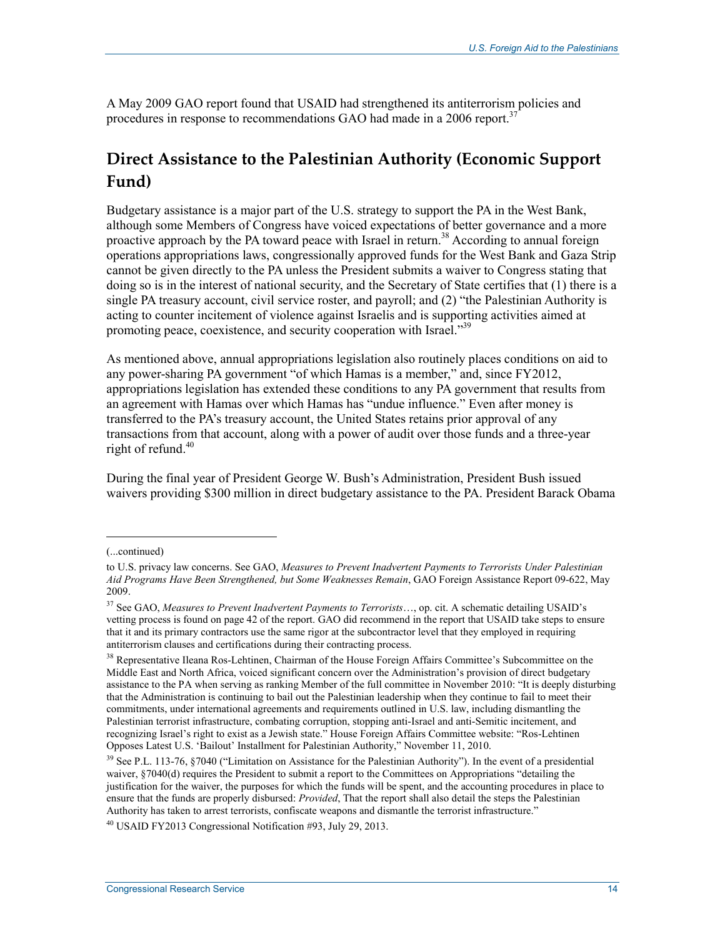A May 2009 GAO report found that USAID had strengthened its antiterrorism policies and procedures in response to recommendations GAO had made in a 2006 report.<sup>37</sup>

## **Direct Assistance to the Palestinian Authority (Economic Support Fund)**

Budgetary assistance is a major part of the U.S. strategy to support the PA in the West Bank, although some Members of Congress have voiced expectations of better governance and a more proactive approach by the PA toward peace with Israel in return.<sup>38</sup> According to annual foreign operations appropriations laws, congressionally approved funds for the West Bank and Gaza Strip cannot be given directly to the PA unless the President submits a waiver to Congress stating that doing so is in the interest of national security, and the Secretary of State certifies that (1) there is a single PA treasury account, civil service roster, and payroll; and (2) "the Palestinian Authority is acting to counter incitement of violence against Israelis and is supporting activities aimed at promoting peace, coexistence, and security cooperation with Israel."<sup>39</sup>

As mentioned above, annual appropriations legislation also routinely places conditions on aid to any power-sharing PA government "of which Hamas is a member," and, since FY2012, appropriations legislation has extended these conditions to any PA government that results from an agreement with Hamas over which Hamas has "undue influence." Even after money is transferred to the PA's treasury account, the United States retains prior approval of any transactions from that account, along with a power of audit over those funds and a three-year right of refund. $40$ 

During the final year of President George W. Bush's Administration, President Bush issued waivers providing \$300 million in direct budgetary assistance to the PA. President Barack Obama

<sup>(...</sup>continued)

to U.S. privacy law concerns. See GAO, *Measures to Prevent Inadvertent Payments to Terrorists Under Palestinian Aid Programs Have Been Strengthened, but Some Weaknesses Remain*, GAO Foreign Assistance Report 09-622, May 2009.

<sup>37</sup> See GAO, *Measures to Prevent Inadvertent Payments to Terrorists*…, op. cit. A schematic detailing USAID's vetting process is found on page 42 of the report. GAO did recommend in the report that USAID take steps to ensure that it and its primary contractors use the same rigor at the subcontractor level that they employed in requiring antiterrorism clauses and certifications during their contracting process.

<sup>&</sup>lt;sup>38</sup> Representative Ileana Ros-Lehtinen, Chairman of the House Foreign Affairs Committee's Subcommittee on the Middle East and North Africa, voiced significant concern over the Administration's provision of direct budgetary assistance to the PA when serving as ranking Member of the full committee in November 2010: "It is deeply disturbing that the Administration is continuing to bail out the Palestinian leadership when they continue to fail to meet their commitments, under international agreements and requirements outlined in U.S. law, including dismantling the Palestinian terrorist infrastructure, combating corruption, stopping anti-Israel and anti-Semitic incitement, and recognizing Israel's right to exist as a Jewish state." House Foreign Affairs Committee website: "Ros-Lehtinen Opposes Latest U.S. 'Bailout' Installment for Palestinian Authority," November 11, 2010.

<sup>39</sup> See P.L. 113-76, §7040 ("Limitation on Assistance for the Palestinian Authority"). In the event of a presidential waiver, §7040(d) requires the President to submit a report to the Committees on Appropriations "detailing the justification for the waiver, the purposes for which the funds will be spent, and the accounting procedures in place to ensure that the funds are properly disbursed: *Provided*, That the report shall also detail the steps the Palestinian Authority has taken to arrest terrorists, confiscate weapons and dismantle the terrorist infrastructure."

 $^{40}$  USAID FY2013 Congressional Notification #93, July 29, 2013.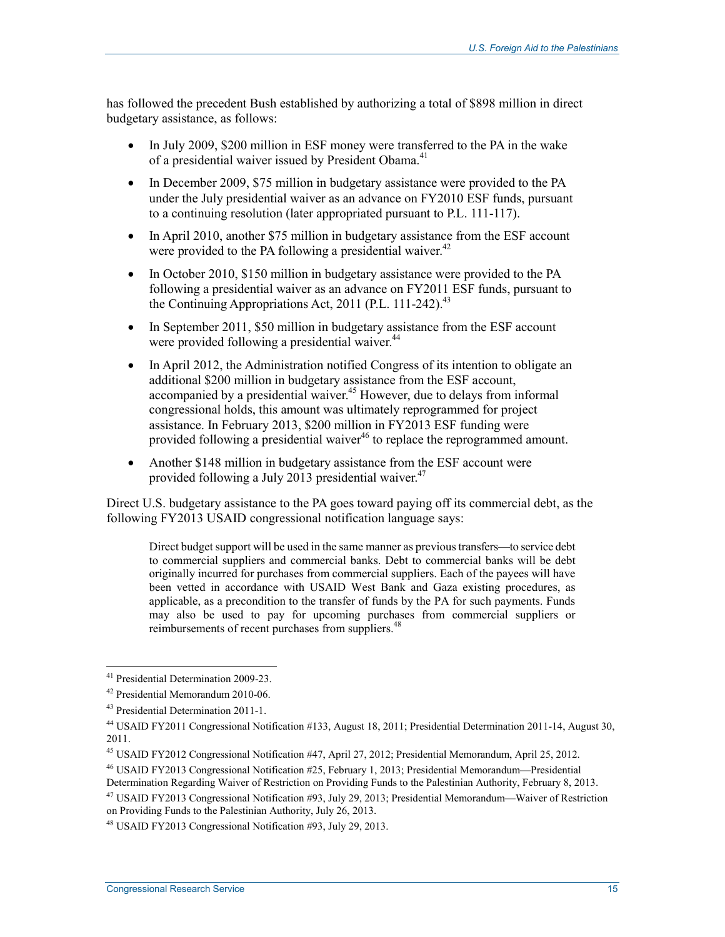has followed the precedent Bush established by authorizing a total of \$898 million in direct budgetary assistance, as follows:

- In July 2009, \$200 million in ESF money were transferred to the PA in the wake of a presidential waiver issued by President Obama.<sup>41</sup>
- In December 2009, \$75 million in budgetary assistance were provided to the PA under the July presidential waiver as an advance on FY2010 ESF funds, pursuant to a continuing resolution (later appropriated pursuant to P.L. 111-117).
- In April 2010, another \$75 million in budgetary assistance from the ESF account were provided to the PA following a presidential waiver. $42$
- In October 2010, \$150 million in budgetary assistance were provided to the PA following a presidential waiver as an advance on FY2011 ESF funds, pursuant to the Continuing Appropriations Act, 2011 (P.L. 111-242). $^{43}$
- In September 2011, \$50 million in budgetary assistance from the ESF account were provided following a presidential waiver.<sup>44</sup>
- In April 2012, the Administration notified Congress of its intention to obligate an additional \$200 million in budgetary assistance from the ESF account, accompanied by a presidential waiver.<sup>45</sup> However, due to delays from informal congressional holds, this amount was ultimately reprogrammed for project assistance. In February 2013, \$200 million in FY2013 ESF funding were provided following a presidential waiver<sup>46</sup> to replace the reprogrammed amount.
- Another \$148 million in budgetary assistance from the ESF account were provided following a July 2013 presidential waiver.  $47$

Direct U.S. budgetary assistance to the PA goes toward paying off its commercial debt, as the following FY2013 USAID congressional notification language says:

Direct budget support will be used in the same manner as previous transfers—to service debt to commercial suppliers and commercial banks. Debt to commercial banks will be debt originally incurred for purchases from commercial suppliers. Each of the payees will have been vetted in accordance with USAID West Bank and Gaza existing procedures, as applicable, as a precondition to the transfer of funds by the PA for such payments. Funds may also be used to pay for upcoming purchases from commercial suppliers or reimbursements of recent purchases from suppliers.<sup>48</sup>

<u>.</u>

<sup>&</sup>lt;sup>41</sup> Presidential Determination 2009-23.

<sup>42</sup> Presidential Memorandum 2010-06.

<sup>43</sup> Presidential Determination 2011-1.

<sup>44</sup> USAID FY2011 Congressional Notification #133, August 18, 2011; Presidential Determination 2011-14, August 30, 2011.

<sup>45</sup> USAID FY2012 Congressional Notification #47, April 27, 2012; Presidential Memorandum, April 25, 2012.

<sup>46</sup> USAID FY2013 Congressional Notification #25, February 1, 2013; Presidential Memorandum—Presidential Determination Regarding Waiver of Restriction on Providing Funds to the Palestinian Authority, February 8, 2013.

<sup>47</sup> USAID FY2013 Congressional Notification #93, July 29, 2013; Presidential Memorandum—Waiver of Restriction on Providing Funds to the Palestinian Authority, July 26, 2013.

<sup>48</sup> USAID FY2013 Congressional Notification #93, July 29, 2013.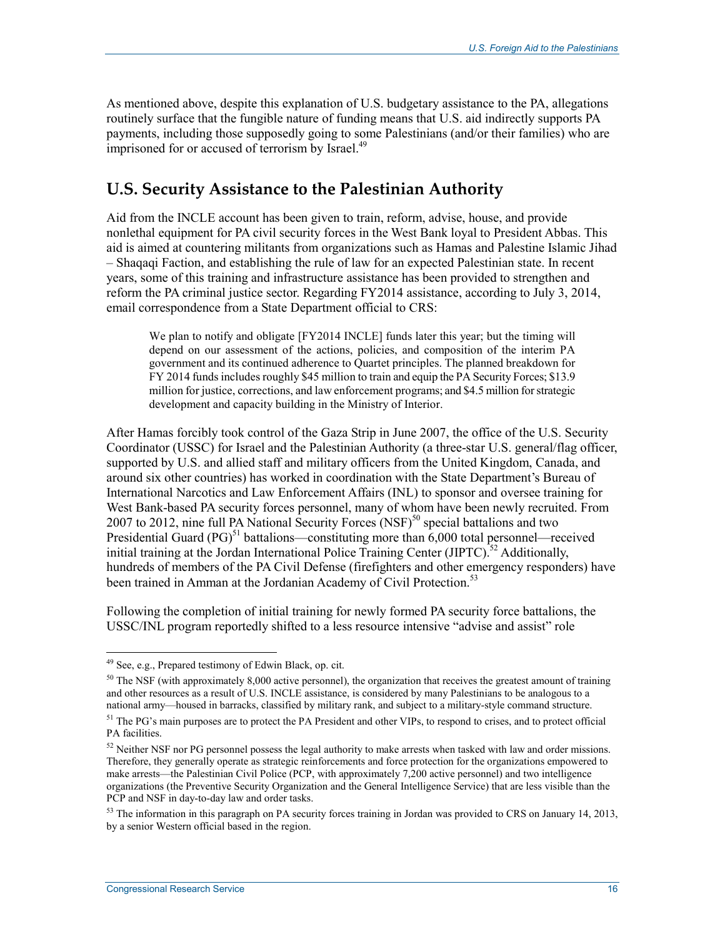As mentioned above, despite this explanation of U.S. budgetary assistance to the PA, allegations routinely surface that the fungible nature of funding means that U.S. aid indirectly supports PA payments, including those supposedly going to some Palestinians (and/or their families) who are imprisoned for or accused of terrorism by Israel.<sup>49</sup>

## **U.S. Security Assistance to the Palestinian Authority**

Aid from the INCLE account has been given to train, reform, advise, house, and provide nonlethal equipment for PA civil security forces in the West Bank loyal to President Abbas. This aid is aimed at countering militants from organizations such as Hamas and Palestine Islamic Jihad – Shaqaqi Faction, and establishing the rule of law for an expected Palestinian state. In recent years, some of this training and infrastructure assistance has been provided to strengthen and reform the PA criminal justice sector. Regarding FY2014 assistance, according to July 3, 2014, email correspondence from a State Department official to CRS:

We plan to notify and obligate [FY2014 INCLE] funds later this year; but the timing will depend on our assessment of the actions, policies, and composition of the interim PA government and its continued adherence to Quartet principles. The planned breakdown for FY 2014 funds includes roughly \$45 million to train and equip the PA Security Forces; \$13.9 million for justice, corrections, and law enforcement programs; and \$4.5 million for strategic development and capacity building in the Ministry of Interior.

After Hamas forcibly took control of the Gaza Strip in June 2007, the office of the U.S. Security Coordinator (USSC) for Israel and the Palestinian Authority (a three-star U.S. general/flag officer, supported by U.S. and allied staff and military officers from the United Kingdom, Canada, and around six other countries) has worked in coordination with the State Department's Bureau of International Narcotics and Law Enforcement Affairs (INL) to sponsor and oversee training for West Bank-based PA security forces personnel, many of whom have been newly recruited. From 2007 to 2012, nine full PA National Security Forces  $(NSF)^{50}$  special battalions and two Presidential Guard  $(PG)^{51}$  battalions—constituting more than 6,000 total personnel—received initial training at the Jordan International Police Training Center (JIPTC).<sup>52</sup> Additionally, hundreds of members of the PA Civil Defense (firefighters and other emergency responders) have been trained in Amman at the Jordanian Academy of Civil Protection.<sup>53</sup>

Following the completion of initial training for newly formed PA security force battalions, the USSC/INL program reportedly shifted to a less resource intensive "advise and assist" role

<u>.</u>

<sup>&</sup>lt;sup>49</sup> See, e.g., Prepared testimony of Edwin Black, op. cit.

 $50$  The NSF (with approximately 8,000 active personnel), the organization that receives the greatest amount of training and other resources as a result of U.S. INCLE assistance, is considered by many Palestinians to be analogous to a national army—housed in barracks, classified by military rank, and subject to a military-style command structure.

<sup>&</sup>lt;sup>51</sup> The PG's main purposes are to protect the PA President and other VIPs, to respond to crises, and to protect official PA facilities.

<sup>&</sup>lt;sup>52</sup> Neither NSF nor PG personnel possess the legal authority to make arrests when tasked with law and order missions. Therefore, they generally operate as strategic reinforcements and force protection for the organizations empowered to make arrests—the Palestinian Civil Police (PCP, with approximately 7,200 active personnel) and two intelligence organizations (the Preventive Security Organization and the General Intelligence Service) that are less visible than the PCP and NSF in day-to-day law and order tasks.

 $53$  The information in this paragraph on PA security forces training in Jordan was provided to CRS on January 14, 2013, by a senior Western official based in the region.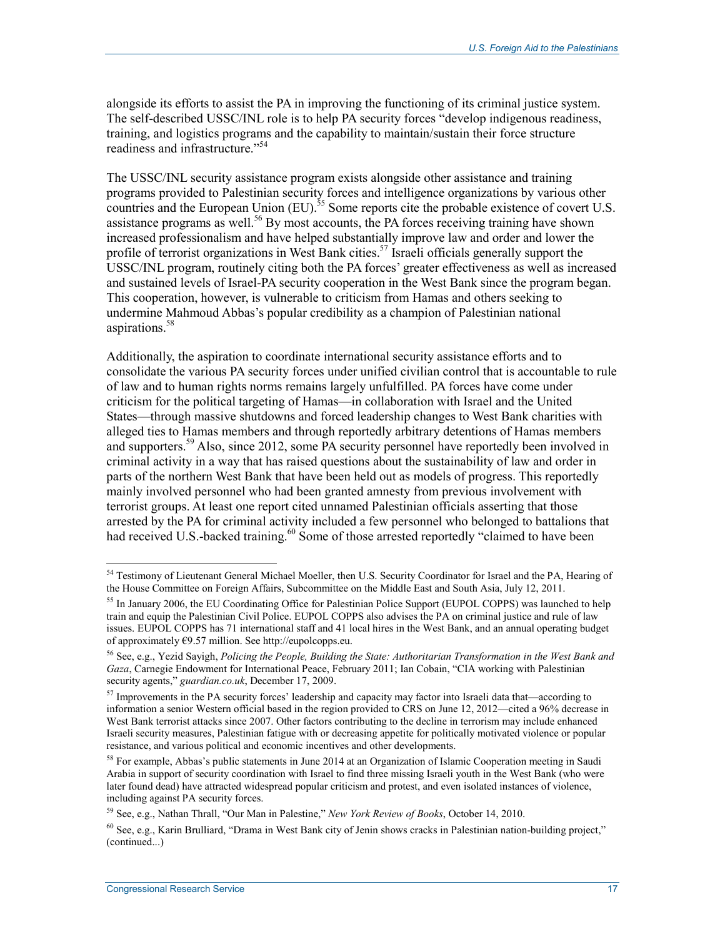alongside its efforts to assist the PA in improving the functioning of its criminal justice system. The self-described USSC/INL role is to help PA security forces "develop indigenous readiness, training, and logistics programs and the capability to maintain/sustain their force structure readiness and infrastructure."<sup>54</sup>

The USSC/INL security assistance program exists alongside other assistance and training programs provided to Palestinian security forces and intelligence organizations by various other countries and the European Union  $(EU)$ .<sup>55</sup> Some reports cite the probable existence of covert U.S. assistance programs as well.<sup>56</sup> By most accounts, the PA forces receiving training have shown increased professionalism and have helped substantially improve law and order and lower the profile of terrorist organizations in West Bank cities.<sup>57</sup> Israeli officials generally support the USSC/INL program, routinely citing both the PA forces' greater effectiveness as well as increased and sustained levels of Israel-PA security cooperation in the West Bank since the program began. This cooperation, however, is vulnerable to criticism from Hamas and others seeking to undermine Mahmoud Abbas's popular credibility as a champion of Palestinian national aspirations.<sup>58</sup>

Additionally, the aspiration to coordinate international security assistance efforts and to consolidate the various PA security forces under unified civilian control that is accountable to rule of law and to human rights norms remains largely unfulfilled. PA forces have come under criticism for the political targeting of Hamas—in collaboration with Israel and the United States—through massive shutdowns and forced leadership changes to West Bank charities with alleged ties to Hamas members and through reportedly arbitrary detentions of Hamas members and supporters.<sup>59</sup> Also, since 2012, some PA security personnel have reportedly been involved in criminal activity in a way that has raised questions about the sustainability of law and order in parts of the northern West Bank that have been held out as models of progress. This reportedly mainly involved personnel who had been granted amnesty from previous involvement with terrorist groups. At least one report cited unnamed Palestinian officials asserting that those arrested by the PA for criminal activity included a few personnel who belonged to battalions that had received U.S.-backed training.<sup>60</sup> Some of those arrested reportedly "claimed to have been

<sup>&</sup>lt;sup>54</sup> Testimony of Lieutenant General Michael Moeller, then U.S. Security Coordinator for Israel and the PA, Hearing of the House Committee on Foreign Affairs, Subcommittee on the Middle East and South Asia, July 12, 2011.

<sup>&</sup>lt;sup>55</sup> In January 2006, the EU Coordinating Office for Palestinian Police Support (EUPOL COPPS) was launched to help train and equip the Palestinian Civil Police. EUPOL COPPS also advises the PA on criminal justice and rule of law issues. EUPOL COPPS has 71 international staff and 41 local hires in the West Bank, and an annual operating budget of approximately €9.57 million. See http://eupolcopps.eu.

<sup>56</sup> See, e.g., Yezid Sayigh, *Policing the People, Building the State: Authoritarian Transformation in the West Bank and Gaza*, Carnegie Endowment for International Peace, February 2011; Ian Cobain, "CIA working with Palestinian security agents," *guardian.co.uk*, December 17, 2009.

<sup>&</sup>lt;sup>57</sup> Improvements in the PA security forces' leadership and capacity may factor into Israeli data that—according to information a senior Western official based in the region provided to CRS on June 12, 2012—cited a 96% decrease in West Bank terrorist attacks since 2007. Other factors contributing to the decline in terrorism may include enhanced Israeli security measures, Palestinian fatigue with or decreasing appetite for politically motivated violence or popular resistance, and various political and economic incentives and other developments.

<sup>&</sup>lt;sup>58</sup> For example, Abbas's public statements in June 2014 at an Organization of Islamic Cooperation meeting in Saudi Arabia in support of security coordination with Israel to find three missing Israeli youth in the West Bank (who were later found dead) have attracted widespread popular criticism and protest, and even isolated instances of violence, including against PA security forces.

<sup>59</sup> See, e.g., Nathan Thrall, "Our Man in Palestine," *New York Review of Books*, October 14, 2010.

 $^{60}$  See, e.g., Karin Brulliard, "Drama in West Bank city of Jenin shows cracks in Palestinian nation-building project." (continued...)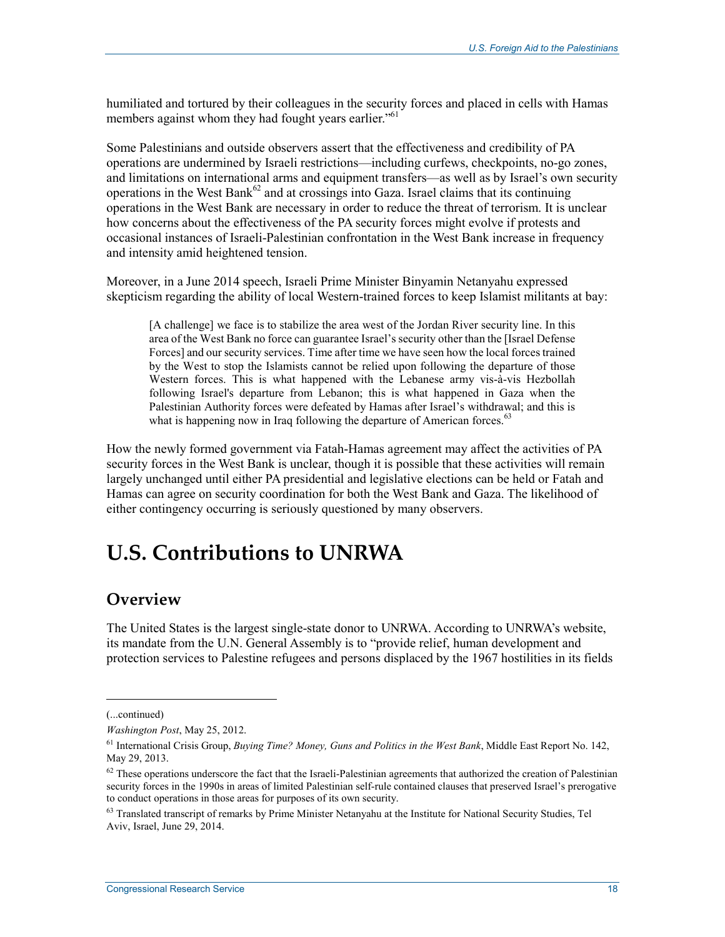humiliated and tortured by their colleagues in the security forces and placed in cells with Hamas members against whom they had fought years earlier."<sup>61</sup>

Some Palestinians and outside observers assert that the effectiveness and credibility of PA operations are undermined by Israeli restrictions—including curfews, checkpoints, no-go zones, and limitations on international arms and equipment transfers—as well as by Israel's own security operations in the West Bank<sup>62</sup> and at crossings into Gaza. Israel claims that its continuing operations in the West Bank are necessary in order to reduce the threat of terrorism. It is unclear how concerns about the effectiveness of the PA security forces might evolve if protests and occasional instances of Israeli-Palestinian confrontation in the West Bank increase in frequency and intensity amid heightened tension.

Moreover, in a June 2014 speech, Israeli Prime Minister Binyamin Netanyahu expressed skepticism regarding the ability of local Western-trained forces to keep Islamist militants at bay:

[A challenge] we face is to stabilize the area west of the Jordan River security line. In this area of the West Bank no force can guarantee Israel's security other than the [Israel Defense Forces] and our security services. Time after time we have seen how the local forces trained by the West to stop the Islamists cannot be relied upon following the departure of those Western forces. This is what happened with the Lebanese army vis-à-vis Hezbollah following Israel's departure from Lebanon; this is what happened in Gaza when the Palestinian Authority forces were defeated by Hamas after Israel's withdrawal; and this is what is happening now in Iraq following the departure of American forces.<sup>63</sup>

How the newly formed government via Fatah-Hamas agreement may affect the activities of PA security forces in the West Bank is unclear, though it is possible that these activities will remain largely unchanged until either PA presidential and legislative elections can be held or Fatah and Hamas can agree on security coordination for both the West Bank and Gaza. The likelihood of either contingency occurring is seriously questioned by many observers.

## **U.S. Contributions to UNRWA**

#### **Overview**

The United States is the largest single-state donor to UNRWA. According to UNRWA's website, its mandate from the U.N. General Assembly is to "provide relief, human development and protection services to Palestine refugees and persons displaced by the 1967 hostilities in its fields

 $\overline{a}$ 

<sup>(...</sup>continued)

*Washington Post*, May 25, 2012.

<sup>61</sup> International Crisis Group, *Buying Time? Money, Guns and Politics in the West Bank*, Middle East Report No. 142, May 29, 2013.

 $62$  These operations underscore the fact that the Israeli-Palestinian agreements that authorized the creation of Palestinian security forces in the 1990s in areas of limited Palestinian self-rule contained clauses that preserved Israel's prerogative to conduct operations in those areas for purposes of its own security.

<sup>&</sup>lt;sup>63</sup> Translated transcript of remarks by Prime Minister Netanyahu at the Institute for National Security Studies, Tel Aviv, Israel, June 29, 2014.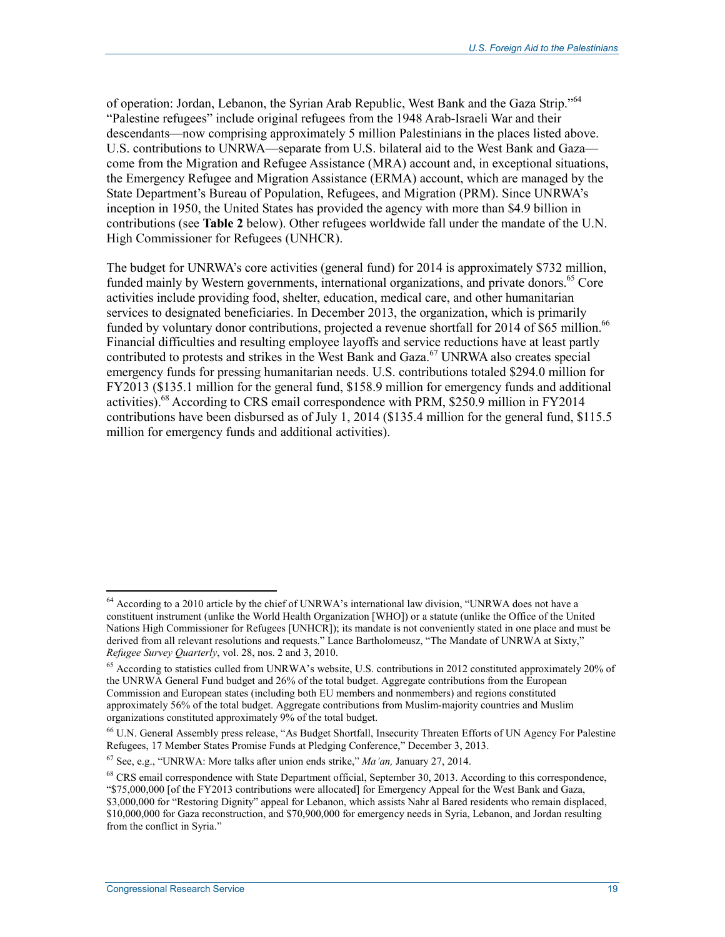of operation: Jordan, Lebanon, the Syrian Arab Republic, West Bank and the Gaza Strip."64 "Palestine refugees" include original refugees from the 1948 Arab-Israeli War and their descendants—now comprising approximately 5 million Palestinians in the places listed above. U.S. contributions to UNRWA—separate from U.S. bilateral aid to the West Bank and Gaza come from the Migration and Refugee Assistance (MRA) account and, in exceptional situations, the Emergency Refugee and Migration Assistance (ERMA) account, which are managed by the State Department's Bureau of Population, Refugees, and Migration (PRM). Since UNRWA's inception in 1950, the United States has provided the agency with more than \$4.9 billion in contributions (see **Table 2** below). Other refugees worldwide fall under the mandate of the U.N. High Commissioner for Refugees (UNHCR).

The budget for UNRWA's core activities (general fund) for 2014 is approximately \$732 million, funded mainly by Western governments, international organizations, and private donors.<sup>65</sup> Core activities include providing food, shelter, education, medical care, and other humanitarian services to designated beneficiaries. In December 2013, the organization, which is primarily funded by voluntary donor contributions, projected a revenue shortfall for 2014 of \$65 million.<sup>66</sup> Financial difficulties and resulting employee layoffs and service reductions have at least partly contributed to protests and strikes in the West Bank and Gaza.<sup>67</sup> UNRWA also creates special emergency funds for pressing humanitarian needs. U.S. contributions totaled \$294.0 million for FY2013 (\$135.1 million for the general fund, \$158.9 million for emergency funds and additional activities).<sup>68</sup> According to CRS email correspondence with PRM, \$250.9 million in FY2014 contributions have been disbursed as of July 1, 2014 (\$135.4 million for the general fund, \$115.5 million for emergency funds and additional activities).

<sup>64</sup> According to a 2010 article by the chief of UNRWA's international law division, "UNRWA does not have a constituent instrument (unlike the World Health Organization [WHO]) or a statute (unlike the Office of the United Nations High Commissioner for Refugees [UNHCR]); its mandate is not conveniently stated in one place and must be derived from all relevant resolutions and requests." Lance Bartholomeusz, "The Mandate of UNRWA at Sixty," *Refugee Survey Quarterly*, vol. 28, nos. 2 and 3, 2010.

<sup>&</sup>lt;sup>65</sup> According to statistics culled from UNRWA's website, U.S. contributions in 2012 constituted approximately 20% of the UNRWA General Fund budget and 26% of the total budget. Aggregate contributions from the European Commission and European states (including both EU members and nonmembers) and regions constituted approximately 56% of the total budget. Aggregate contributions from Muslim-majority countries and Muslim organizations constituted approximately 9% of the total budget.

<sup>66</sup> U.N. General Assembly press release, "As Budget Shortfall, Insecurity Threaten Efforts of UN Agency For Palestine Refugees, 17 Member States Promise Funds at Pledging Conference," December 3, 2013.

<sup>67</sup> See, e.g., "UNRWA: More talks after union ends strike," *Ma'an,* January 27, 2014.

<sup>&</sup>lt;sup>68</sup> CRS email correspondence with State Department official, September 30, 2013. According to this correspondence, "\$75,000,000 [of the FY2013 contributions were allocated] for Emergency Appeal for the West Bank and Gaza, \$3,000,000 for "Restoring Dignity" appeal for Lebanon, which assists Nahr al Bared residents who remain displaced, \$10,000,000 for Gaza reconstruction, and \$70,900,000 for emergency needs in Syria, Lebanon, and Jordan resulting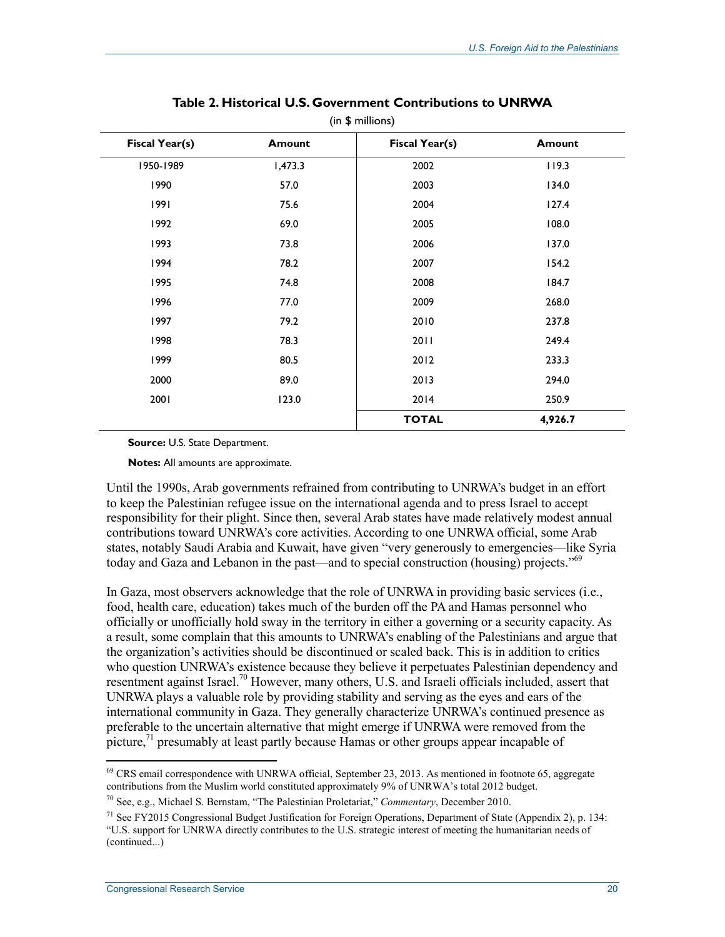| Fiscal Year(s) | <b>Amount</b> | Fiscal Year(s) | <b>Amount</b> |
|----------------|---------------|----------------|---------------|
| 1950-1989      | 1,473.3       | 2002           | 119.3         |
| 1990           | 57.0          | 2003           | 134.0         |
| 1991           | 75.6          | 2004           | 127.4         |
| 1992           | 69.0          | 2005           | 108.0         |
| 1993           | 73.8          | 2006           | 137.0         |
| 1994           | 78.2          | 2007           | 154.2         |
| 1995           | 74.8          | 2008           | 184.7         |
| 1996           | 77.0          | 2009           | 268.0         |
| 1997           | 79.2          | 2010           | 237.8         |
| 1998           | 78.3          | 2011           | 249.4         |
| 1999           | 80.5          | 2012           | 233.3         |
| 2000           | 89.0          | 2013           | 294.0         |
| 2001           | 123.0         | 2014           | 250.9         |
|                |               | <b>TOTAL</b>   | 4,926.7       |

#### **Table 2. Historical U.S. Government Contributions to UNRWA**  (in \$ millions)

**Source:** U.S. State Department.

**Notes:** All amounts are approximate.

Until the 1990s, Arab governments refrained from contributing to UNRWA's budget in an effort to keep the Palestinian refugee issue on the international agenda and to press Israel to accept responsibility for their plight. Since then, several Arab states have made relatively modest annual contributions toward UNRWA's core activities. According to one UNRWA official, some Arab states, notably Saudi Arabia and Kuwait, have given "very generously to emergencies—like Syria today and Gaza and Lebanon in the past—and to special construction (housing) projects."<sup>69</sup>

In Gaza, most observers acknowledge that the role of UNRWA in providing basic services (i.e., food, health care, education) takes much of the burden off the PA and Hamas personnel who officially or unofficially hold sway in the territory in either a governing or a security capacity. As a result, some complain that this amounts to UNRWA's enabling of the Palestinians and argue that the organization's activities should be discontinued or scaled back. This is in addition to critics who question UNRWA's existence because they believe it perpetuates Palestinian dependency and resentment against Israel.<sup>70</sup> However, many others, U.S. and Israeli officials included, assert that UNRWA plays a valuable role by providing stability and serving as the eyes and ears of the international community in Gaza. They generally characterize UNRWA's continued presence as preferable to the uncertain alternative that might emerge if UNRWA were removed from the picture,<sup>71</sup> presumably at least partly because Hamas or other groups appear incapable of

 $^{69}$  CRS email correspondence with UNRWA official, September 23, 2013. As mentioned in footnote 65, aggregate contributions from the Muslim world constituted approximately 9% of UNRWA's total 2012 budget.

<sup>70</sup> See, e.g., Michael S. Bernstam, "The Palestinian Proletariat," *Commentary*, December 2010.

<sup>&</sup>lt;sup>71</sup> See FY2015 Congressional Budget Justification for Foreign Operations, Department of State (Appendix 2), p. 134: "U.S. support for UNRWA directly contributes to the U.S. strategic interest of meeting the humanitarian needs of (continued...)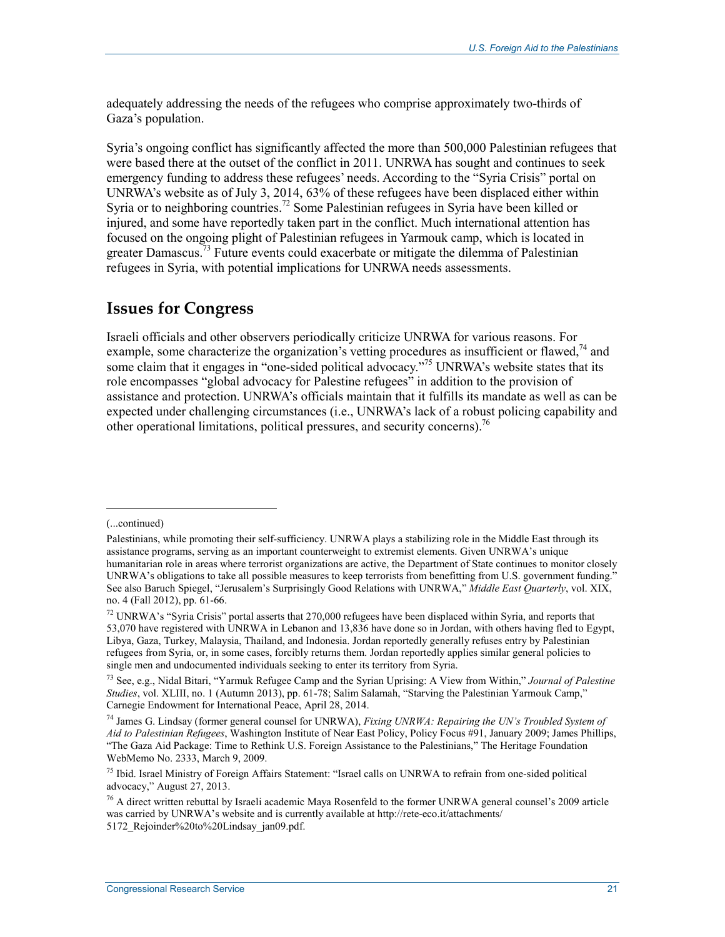adequately addressing the needs of the refugees who comprise approximately two-thirds of Gaza's population.

Syria's ongoing conflict has significantly affected the more than 500,000 Palestinian refugees that were based there at the outset of the conflict in 2011. UNRWA has sought and continues to seek emergency funding to address these refugees' needs. According to the "Syria Crisis" portal on UNRWA's website as of July 3, 2014, 63% of these refugees have been displaced either within Syria or to neighboring countries.<sup>72</sup> Some Palestinian refugees in Syria have been killed or injured, and some have reportedly taken part in the conflict. Much international attention has focused on the ongoing plight of Palestinian refugees in Yarmouk camp, which is located in greater Damascus.<sup>73</sup> Future events could exacerbate or mitigate the dilemma of Palestinian refugees in Syria, with potential implications for UNRWA needs assessments.

### **Issues for Congress**

Israeli officials and other observers periodically criticize UNRWA for various reasons. For example, some characterize the organization's vetting procedures as insufficient or flawed, $^{74}$  and some claim that it engages in "one-sided political advocacy."75 UNRWA's website states that its role encompasses "global advocacy for Palestine refugees" in addition to the provision of assistance and protection. UNRWA's officials maintain that it fulfills its mandate as well as can be expected under challenging circumstances (i.e., UNRWA's lack of a robust policing capability and other operational limitations, political pressures, and security concerns).<sup>76</sup>

<sup>(...</sup>continued)

Palestinians, while promoting their self-sufficiency. UNRWA plays a stabilizing role in the Middle East through its assistance programs, serving as an important counterweight to extremist elements. Given UNRWA's unique humanitarian role in areas where terrorist organizations are active, the Department of State continues to monitor closely UNRWA's obligations to take all possible measures to keep terrorists from benefitting from U.S. government funding." See also Baruch Spiegel, "Jerusalem's Surprisingly Good Relations with UNRWA," *Middle East Quarterly*, vol. XIX, no. 4 (Fall 2012), pp. 61-66.

<sup>72</sup> UNRWA's "Syria Crisis" portal asserts that 270,000 refugees have been displaced within Syria, and reports that 53,070 have registered with UNRWA in Lebanon and 13,836 have done so in Jordan, with others having fled to Egypt, Libya, Gaza, Turkey, Malaysia, Thailand, and Indonesia. Jordan reportedly generally refuses entry by Palestinian refugees from Syria, or, in some cases, forcibly returns them. Jordan reportedly applies similar general policies to single men and undocumented individuals seeking to enter its territory from Syria.

<sup>73</sup> See, e.g., Nidal Bitari, "Yarmuk Refugee Camp and the Syrian Uprising: A View from Within," *Journal of Palestine Studies*, vol. XLIII, no. 1 (Autumn 2013), pp. 61-78; Salim Salamah, "Starving the Palestinian Yarmouk Camp," Carnegie Endowment for International Peace, April 28, 2014.

<sup>74</sup> James G. Lindsay (former general counsel for UNRWA), *Fixing UNRWA: Repairing the UN's Troubled System of Aid to Palestinian Refugees*, Washington Institute of Near East Policy, Policy Focus #91, January 2009; James Phillips, "The Gaza Aid Package: Time to Rethink U.S. Foreign Assistance to the Palestinians," The Heritage Foundation WebMemo No. 2333, March 9, 2009.

<sup>&</sup>lt;sup>75</sup> Ibid. Israel Ministry of Foreign Affairs Statement: "Israel calls on UNRWA to refrain from one-sided political advocacy," August 27, 2013.

<sup>76</sup> A direct written rebuttal by Israeli academic Maya Rosenfeld to the former UNRWA general counsel's 2009 article was carried by UNRWA's website and is currently available at http://rete-eco.it/attachments/ 5172 Rejoinder%20to%20Lindsay\_jan09.pdf.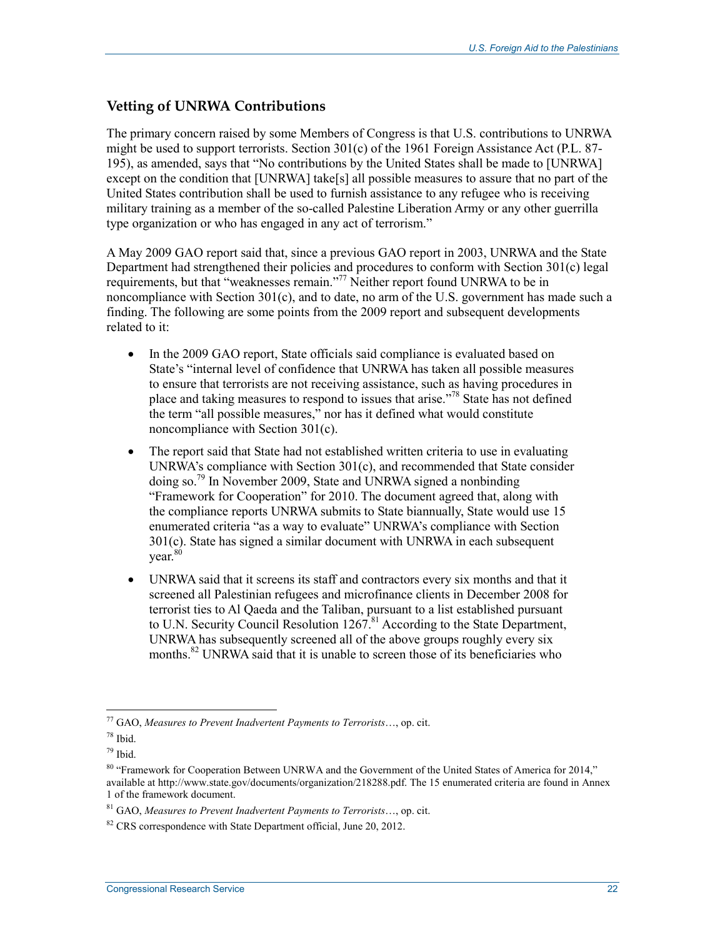#### **Vetting of UNRWA Contributions**

The primary concern raised by some Members of Congress is that U.S. contributions to UNRWA might be used to support terrorists. Section 301(c) of the 1961 Foreign Assistance Act (P.L. 87- 195), as amended, says that "No contributions by the United States shall be made to [UNRWA] except on the condition that [UNRWA] take[s] all possible measures to assure that no part of the United States contribution shall be used to furnish assistance to any refugee who is receiving military training as a member of the so-called Palestine Liberation Army or any other guerrilla type organization or who has engaged in any act of terrorism."

A May 2009 GAO report said that, since a previous GAO report in 2003, UNRWA and the State Department had strengthened their policies and procedures to conform with Section 301(c) legal requirements, but that "weaknesses remain."77 Neither report found UNRWA to be in noncompliance with Section 301(c), and to date, no arm of the U.S. government has made such a finding. The following are some points from the 2009 report and subsequent developments related to it:

- In the 2009 GAO report, State officials said compliance is evaluated based on State's "internal level of confidence that UNRWA has taken all possible measures to ensure that terrorists are not receiving assistance, such as having procedures in place and taking measures to respond to issues that arise."78 State has not defined the term "all possible measures," nor has it defined what would constitute noncompliance with Section 301(c).
- The report said that State had not established written criteria to use in evaluating UNRWA's compliance with Section 301(c), and recommended that State consider doing so.79 In November 2009, State and UNRWA signed a nonbinding "Framework for Cooperation" for 2010. The document agreed that, along with the compliance reports UNRWA submits to State biannually, State would use 15 enumerated criteria "as a way to evaluate" UNRWA's compliance with Section 301(c). State has signed a similar document with UNRWA in each subsequent vear.<sup>80</sup>
- UNRWA said that it screens its staff and contractors every six months and that it screened all Palestinian refugees and microfinance clients in December 2008 for terrorist ties to Al Qaeda and the Taliban, pursuant to a list established pursuant to U.N. Security Council Resolution 1267.<sup>81</sup> According to the State Department, UNRWA has subsequently screened all of the above groups roughly every six months.<sup>82</sup> UNRWA said that it is unable to screen those of its beneficiaries who

<sup>77</sup> GAO, *Measures to Prevent Inadvertent Payments to Terrorists*…, op. cit.

<sup>78</sup> Ibid.

 $79$  Ibid.

<sup>80 &</sup>quot;Framework for Cooperation Between UNRWA and the Government of the United States of America for 2014," available at http://www.state.gov/documents/organization/218288.pdf. The 15 enumerated criteria are found in Annex 1 of the framework document.

<sup>81</sup> GAO, *Measures to Prevent Inadvertent Payments to Terrorists*…, op. cit.

 $82$  CRS correspondence with State Department official, June 20, 2012.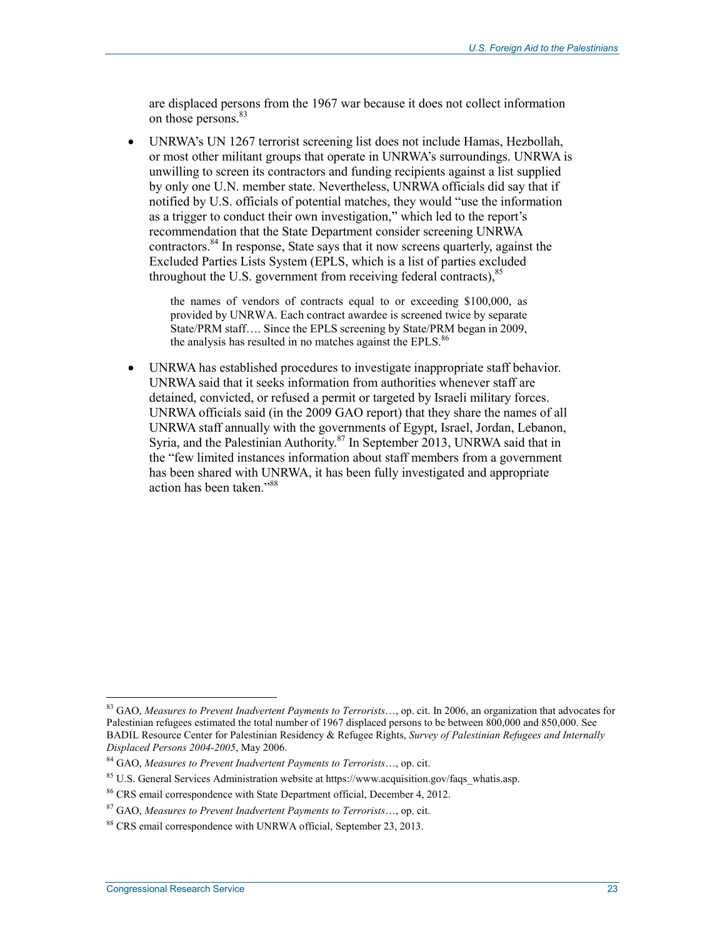are displaced persons from the 1967 war because it does not collect information on those persons.<sup>83</sup>

• UNRWA's UN 1267 terrorist screening list does not include Hamas, Hezbollah, or most other militant groups that operate in UNRWA's surroundings. UNRWA is unwilling to screen its contractors and funding recipients against a list supplied by only one U.N. member state. Nevertheless, UNRWA officials did say that if notified by U.S. officials of potential matches, they would "use the information as a trigger to conduct their own investigation," which led to the report's recommendation that the State Department consider screening UNRWA contractors.84 In response, State says that it now screens quarterly, against the Excluded Parties Lists System (EPLS, which is a list of parties excluded throughout the U.S. government from receiving federal contracts).<sup>85</sup>

the names of vendors of contracts equal to or exceeding \$100,000, as provided by UNRWA. Each contract awardee is screened twice by separate State/PRM staff…. Since the EPLS screening by State/PRM began in 2009, the analysis has resulted in no matches against the EPLS.<sup>86</sup>

• UNRWA has established procedures to investigate inappropriate staff behavior. UNRWA said that it seeks information from authorities whenever staff are detained, convicted, or refused a permit or targeted by Israeli military forces. UNRWA officials said (in the 2009 GAO report) that they share the names of all UNRWA staff annually with the governments of Egypt, Israel, Jordan, Lebanon, Syria, and the Palestinian Authority.87 In September 2013, UNRWA said that in the "few limited instances information about staff members from a government has been shared with UNRWA, it has been fully investigated and appropriate action has been taken."88

<sup>83</sup> GAO, *Measures to Prevent Inadvertent Payments to Terrorists*…, op. cit. In 2006, an organization that advocates for Palestinian refugees estimated the total number of 1967 displaced persons to be between 800,000 and 850,000. See BADIL Resource Center for Palestinian Residency & Refugee Rights, *Survey of Palestinian Refugees and Internally Displaced Persons 2004-2005*, May 2006.

<sup>84</sup> GAO, *Measures to Prevent Inadvertent Payments to Terrorists*…, op. cit.

 $85$  U.S. General Services Administration website at https://www.acquisition.gov/faqs\_whatis.asp.

<sup>86</sup> CRS email correspondence with State Department official, December 4, 2012.

<sup>87</sup> GAO, *Measures to Prevent Inadvertent Payments to Terrorists*…, op. cit.

<sup>88</sup> CRS email correspondence with UNRWA official, September 23, 2013.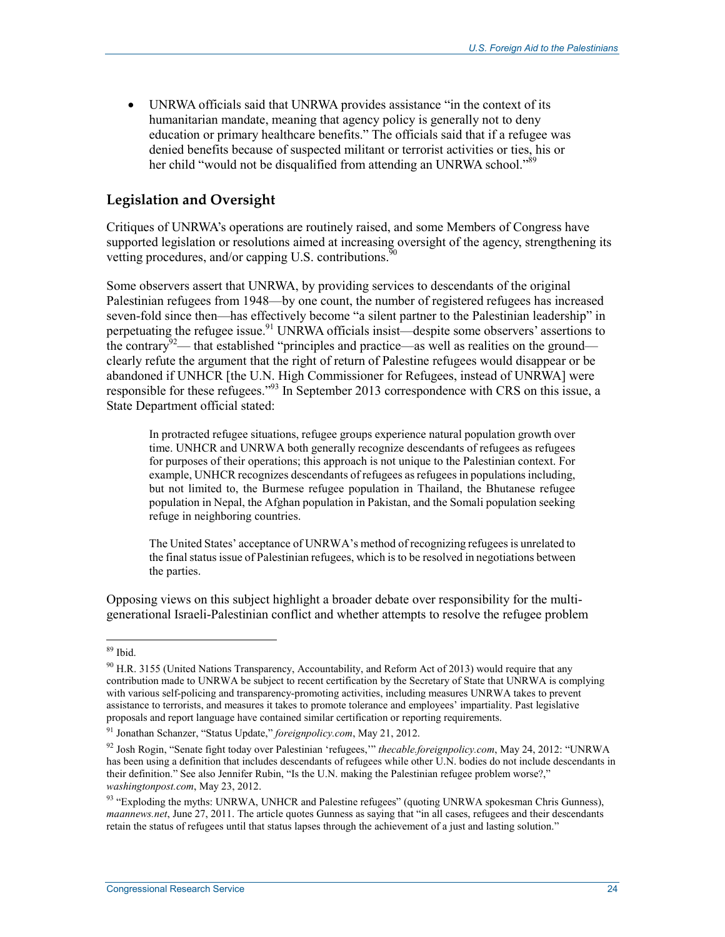• UNRWA officials said that UNRWA provides assistance "in the context of its humanitarian mandate, meaning that agency policy is generally not to deny education or primary healthcare benefits." The officials said that if a refugee was denied benefits because of suspected militant or terrorist activities or ties, his or her child "would not be disqualified from attending an UNRWA school."<sup>89</sup>

#### **Legislation and Oversight**

Critiques of UNRWA's operations are routinely raised, and some Members of Congress have supported legislation or resolutions aimed at increasing oversight of the agency, strengthening its vetting procedures, and/or capping U.S. contributions.<sup>50</sup>

Some observers assert that UNRWA, by providing services to descendants of the original Palestinian refugees from 1948—by one count, the number of registered refugees has increased seven-fold since then—has effectively become "a silent partner to the Palestinian leadership" in perpetuating the refugee issue.<sup>91</sup> UNRWA officials insist—despite some observers' assertions to the contrary<sup>92</sup>— that established "principles and practice—as well as realities on the ground clearly refute the argument that the right of return of Palestine refugees would disappear or be abandoned if UNHCR [the U.N. High Commissioner for Refugees, instead of UNRWA] were responsible for these refugees."93 In September 2013 correspondence with CRS on this issue, a State Department official stated:

In protracted refugee situations, refugee groups experience natural population growth over time. UNHCR and UNRWA both generally recognize descendants of refugees as refugees for purposes of their operations; this approach is not unique to the Palestinian context. For example, UNHCR recognizes descendants of refugees as refugees in populations including, but not limited to, the Burmese refugee population in Thailand, the Bhutanese refugee population in Nepal, the Afghan population in Pakistan, and the Somali population seeking refuge in neighboring countries.

The United States' acceptance of UNRWA's method of recognizing refugees is unrelated to the final status issue of Palestinian refugees, which is to be resolved in negotiations between the parties.

Opposing views on this subject highlight a broader debate over responsibility for the multigenerational Israeli-Palestinian conflict and whether attempts to resolve the refugee problem

<u>.</u>

<sup>89</sup> Ibid.

<sup>&</sup>lt;sup>90</sup> H.R. 3155 (United Nations Transparency, Accountability, and Reform Act of 2013) would require that any contribution made to UNRWA be subject to recent certification by the Secretary of State that UNRWA is complying with various self-policing and transparency-promoting activities, including measures UNRWA takes to prevent assistance to terrorists, and measures it takes to promote tolerance and employees' impartiality. Past legislative proposals and report language have contained similar certification or reporting requirements.

<sup>91</sup> Jonathan Schanzer, "Status Update," *foreignpolicy.com*, May 21, 2012.

<sup>92</sup> Josh Rogin, "Senate fight today over Palestinian 'refugees,'" *thecable.foreignpolicy.com*, May 24, 2012: "UNRWA has been using a definition that includes descendants of refugees while other U.N. bodies do not include descendants in their definition." See also Jennifer Rubin, "Is the U.N. making the Palestinian refugee problem worse?," *washingtonpost.com*, May 23, 2012.

<sup>93 &</sup>quot;Exploding the myths: UNRWA, UNHCR and Palestine refugees" (quoting UNRWA spokesman Chris Gunness), *maannews.net*, June 27, 2011. The article quotes Gunness as saying that "in all cases, refugees and their descendants retain the status of refugees until that status lapses through the achievement of a just and lasting solution."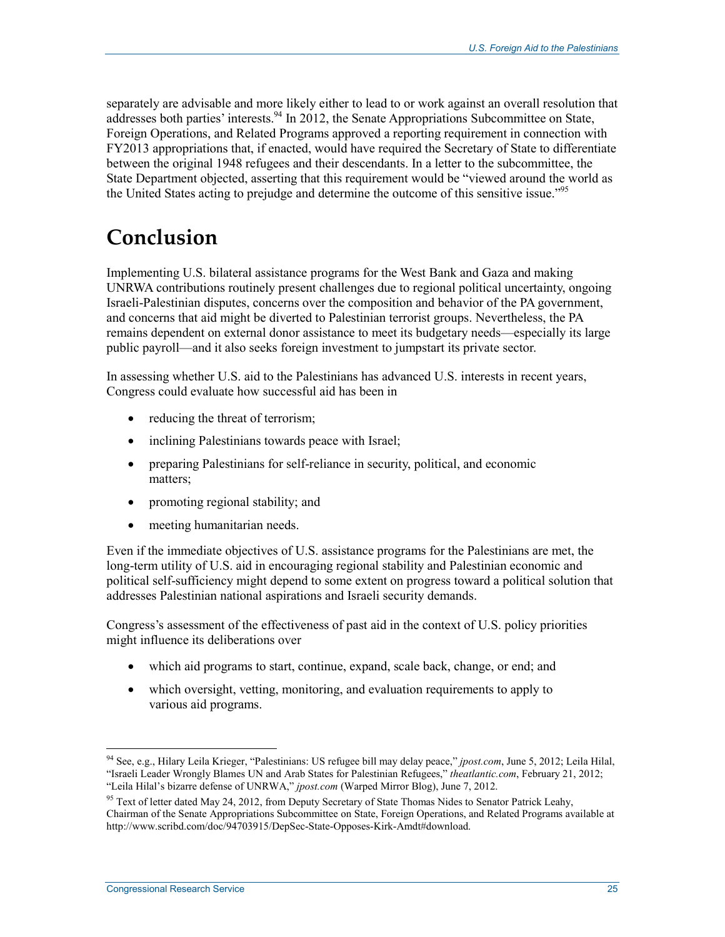separately are advisable and more likely either to lead to or work against an overall resolution that addresses both parties' interests.<sup>94</sup> In 2012, the Senate Appropriations Subcommittee on State, Foreign Operations, and Related Programs approved a reporting requirement in connection with FY2013 appropriations that, if enacted, would have required the Secretary of State to differentiate between the original 1948 refugees and their descendants. In a letter to the subcommittee, the State Department objected, asserting that this requirement would be "viewed around the world as the United States acting to prejudge and determine the outcome of this sensitive issue."<sup>95</sup>

## **Conclusion**

Implementing U.S. bilateral assistance programs for the West Bank and Gaza and making UNRWA contributions routinely present challenges due to regional political uncertainty, ongoing Israeli-Palestinian disputes, concerns over the composition and behavior of the PA government, and concerns that aid might be diverted to Palestinian terrorist groups. Nevertheless, the PA remains dependent on external donor assistance to meet its budgetary needs—especially its large public payroll—and it also seeks foreign investment to jumpstart its private sector.

In assessing whether U.S. aid to the Palestinians has advanced U.S. interests in recent years, Congress could evaluate how successful aid has been in

- reducing the threat of terrorism;
- inclining Palestinians towards peace with Israel;
- preparing Palestinians for self-reliance in security, political, and economic matters;
- promoting regional stability; and
- meeting humanitarian needs.

Even if the immediate objectives of U.S. assistance programs for the Palestinians are met, the long-term utility of U.S. aid in encouraging regional stability and Palestinian economic and political self-sufficiency might depend to some extent on progress toward a political solution that addresses Palestinian national aspirations and Israeli security demands.

Congress's assessment of the effectiveness of past aid in the context of U.S. policy priorities might influence its deliberations over

- which aid programs to start, continue, expand, scale back, change, or end; and
- which oversight, vetting, monitoring, and evaluation requirements to apply to various aid programs.

<sup>1</sup> 94 See, e.g., Hilary Leila Krieger, "Palestinians: US refugee bill may delay peace," *jpost.com*, June 5, 2012; Leila Hilal, "Israeli Leader Wrongly Blames UN and Arab States for Palestinian Refugees," *theatlantic.com*, February 21, 2012;

<sup>&</sup>quot;Leila Hilal's bizarre defense of UNRWA," *jpost.com* (Warped Mirror Blog), June 7, 2012.

<sup>&</sup>lt;sup>95</sup> Text of letter dated May 24, 2012, from Deputy Secretary of State Thomas Nides to Senator Patrick Leahy, Chairman of the Senate Appropriations Subcommittee on State, Foreign Operations, and Related Programs available at http://www.scribd.com/doc/94703915/DepSec-State-Opposes-Kirk-Amdt#download.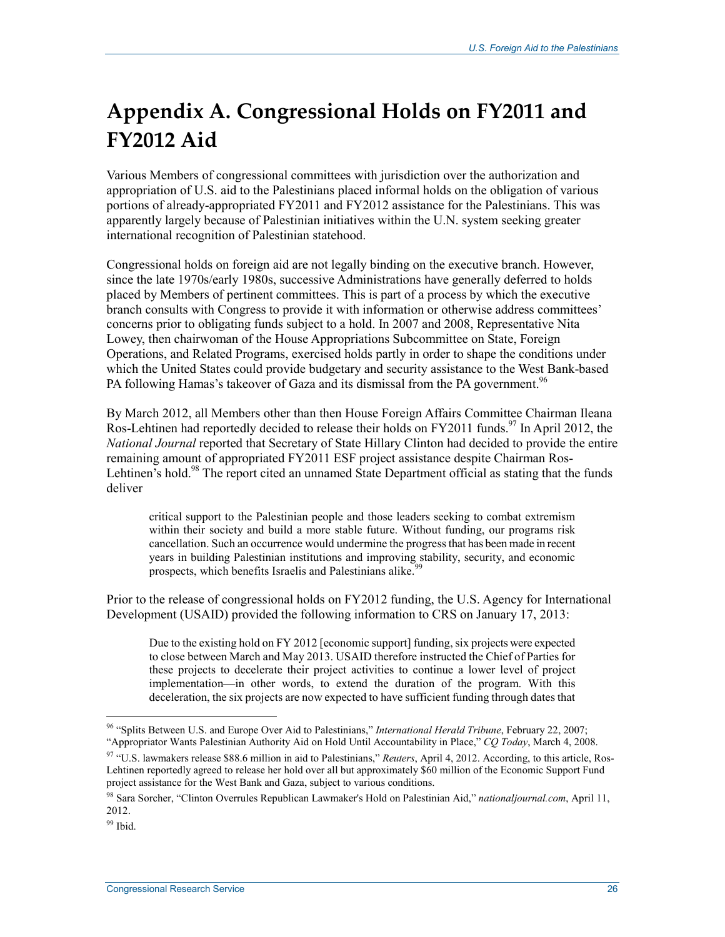# **Appendix A. Congressional Holds on FY2011 and FY2012 Aid**

Various Members of congressional committees with jurisdiction over the authorization and appropriation of U.S. aid to the Palestinians placed informal holds on the obligation of various portions of already-appropriated FY2011 and FY2012 assistance for the Palestinians. This was apparently largely because of Palestinian initiatives within the U.N. system seeking greater international recognition of Palestinian statehood.

Congressional holds on foreign aid are not legally binding on the executive branch. However, since the late 1970s/early 1980s, successive Administrations have generally deferred to holds placed by Members of pertinent committees. This is part of a process by which the executive branch consults with Congress to provide it with information or otherwise address committees' concerns prior to obligating funds subject to a hold. In 2007 and 2008, Representative Nita Lowey, then chairwoman of the House Appropriations Subcommittee on State, Foreign Operations, and Related Programs, exercised holds partly in order to shape the conditions under which the United States could provide budgetary and security assistance to the West Bank-based PA following Hamas's takeover of Gaza and its dismissal from the PA government.<sup>96</sup>

By March 2012, all Members other than then House Foreign Affairs Committee Chairman Ileana Ros-Lehtinen had reportedly decided to release their holds on FY2011 funds.<sup>97</sup> In April 2012, the *National Journal* reported that Secretary of State Hillary Clinton had decided to provide the entire remaining amount of appropriated FY2011 ESF project assistance despite Chairman Ros-Lehtinen's hold.<sup>98</sup> The report cited an unnamed State Department official as stating that the funds deliver

critical support to the Palestinian people and those leaders seeking to combat extremism within their society and build a more stable future. Without funding, our programs risk cancellation. Such an occurrence would undermine the progress that has been made in recent years in building Palestinian institutions and improving stability, security, and economic prospects, which benefits Israelis and Palestinians alike.<sup>99</sup>

Prior to the release of congressional holds on FY2012 funding, the U.S. Agency for International Development (USAID) provided the following information to CRS on January 17, 2013:

Due to the existing hold on FY 2012 [economic support] funding, six projects were expected to close between March and May 2013. USAID therefore instructed the Chief of Parties for these projects to decelerate their project activities to continue a lower level of project implementation—in other words, to extend the duration of the program. With this deceleration, the six projects are now expected to have sufficient funding through dates that

<sup>1</sup> 96 "Splits Between U.S. and Europe Over Aid to Palestinians," *International Herald Tribune*, February 22, 2007; "Appropriator Wants Palestinian Authority Aid on Hold Until Accountability in Place," *CQ Today*, March 4, 2008.

<sup>97 &</sup>quot;U.S. lawmakers release \$88.6 million in aid to Palestinians," *Reuters*, April 4, 2012. According, to this article, Ros-Lehtinen reportedly agreed to release her hold over all but approximately \$60 million of the Economic Support Fund project assistance for the West Bank and Gaza, subject to various conditions.

<sup>98</sup> Sara Sorcher, "Clinton Overrules Republican Lawmaker's Hold on Palestinian Aid," *nationaljournal.com*, April 11, 2012.

<sup>99</sup> Ibid.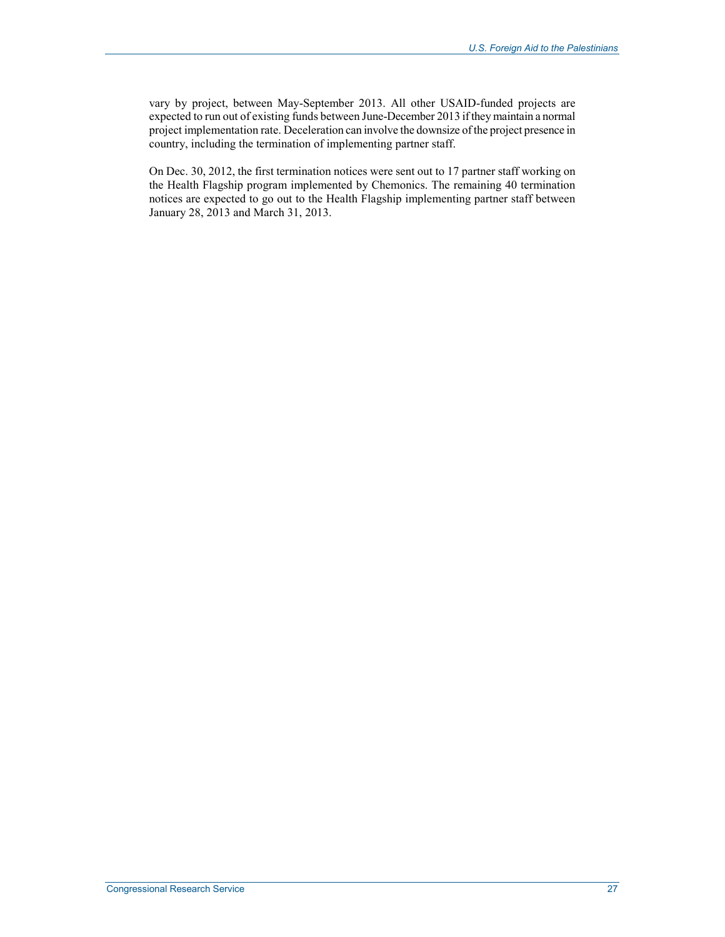vary by project, between May-September 2013. All other USAID-funded projects are expected to run out of existing funds between June-December 2013 if they maintain a normal project implementation rate. Deceleration can involve the downsize of the project presence in country, including the termination of implementing partner staff.

On Dec. 30, 2012, the first termination notices were sent out to 17 partner staff working on the Health Flagship program implemented by Chemonics. The remaining 40 termination notices are expected to go out to the Health Flagship implementing partner staff between January 28, 2013 and March 31, 2013.